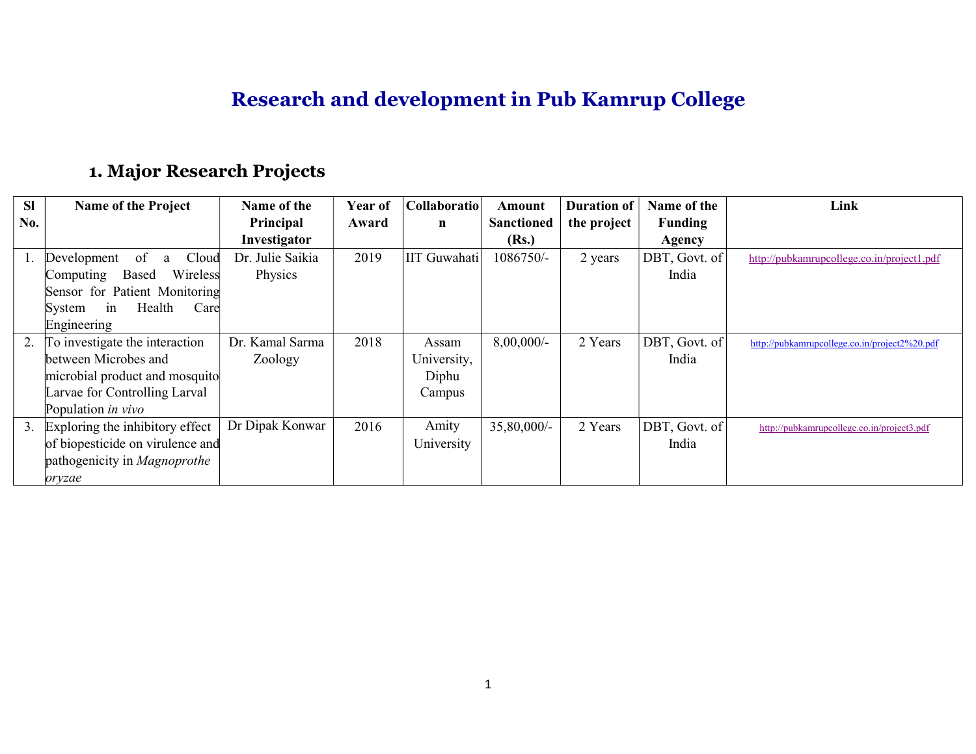# Research and development in Pub Kamrup College

### 1. Major Research Projects

| <b>Sl</b> | <b>Name of the Project</b>       | Name of the      | Year of | Collaboratio | Amount            | <b>Duration of</b> | Name of the   | Link                                          |
|-----------|----------------------------------|------------------|---------|--------------|-------------------|--------------------|---------------|-----------------------------------------------|
| No.       |                                  | Principal        | Award   | $\mathbf n$  | <b>Sanctioned</b> | the project        | Funding       |                                               |
|           |                                  | Investigator     |         |              | (Rs.)             |                    | Agency        |                                               |
|           | Cloud<br>Development<br>of<br>a  | Dr. Julie Saikia | 2019    | IIT Guwahati | 1086750/-         | 2 years            | DBT, Govt. of | http://pubkamrupcollege.co.in/project1.pdf    |
|           | Wireless<br>Based<br>Computing   | Physics          |         |              |                   |                    | India         |                                               |
|           | Sensor for Patient Monitoring    |                  |         |              |                   |                    |               |                                               |
|           | Health<br>Care<br>System<br>1n   |                  |         |              |                   |                    |               |                                               |
|           | Engineering                      |                  |         |              |                   |                    |               |                                               |
| 2.        | To investigate the interaction   | Dr. Kamal Sarma  | 2018    | Assam        | $8,00,000/$ -     | 2 Years            | DBT, Govt. of | http://pubkamrupcollege.co.in/project2%20.pdf |
|           | between Microbes and             | Zoology          |         | University,  |                   |                    | India         |                                               |
|           | microbial product and mosquito   |                  |         | Diphu        |                   |                    |               |                                               |
|           | Larvae for Controlling Larval    |                  |         | Campus       |                   |                    |               |                                               |
|           | Population in vivo               |                  |         |              |                   |                    |               |                                               |
| 3.        | Exploring the inhibitory effect  | Dr Dipak Konwar  | 2016    | Amity        | $35,80,000/$ -    | 2 Years            | DBT, Govt. of | http://pubkamrupcollege.co.in/project3.pdf    |
|           | of biopesticide on virulence and |                  |         | University   |                   |                    | India         |                                               |
|           | pathogenicity in Magnoprothe     |                  |         |              |                   |                    |               |                                               |
|           | oryzae                           |                  |         |              |                   |                    |               |                                               |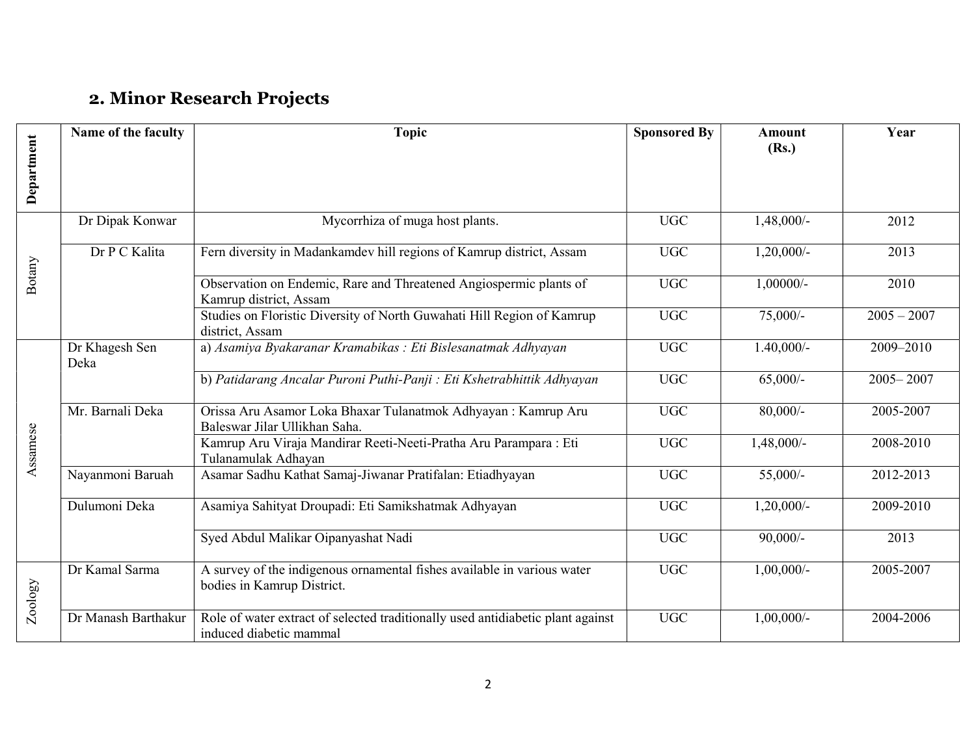# 2. Minor Research Projects

| Department | Name of the faculty                                                                    | <b>Topic</b>                                                                                               | <b>Sponsored By</b> | <b>Amount</b><br>(Rs.) | Year          |
|------------|----------------------------------------------------------------------------------------|------------------------------------------------------------------------------------------------------------|---------------------|------------------------|---------------|
|            | Dr Dipak Konwar                                                                        | Mycorrhiza of muga host plants.                                                                            | <b>UGC</b>          | $1,48,000/-$           | 2012          |
|            |                                                                                        |                                                                                                            |                     |                        |               |
| Botany     | Dr P C Kalita                                                                          | Fern diversity in Madankamdev hill regions of Kamrup district, Assam                                       | <b>UGC</b>          | $1,20,000/-$           | 2013          |
|            |                                                                                        | Observation on Endemic, Rare and Threatened Angiospermic plants of<br>Kamrup district, Assam               | <b>UGC</b>          | $1,00000/-$            | 2010          |
|            |                                                                                        | Studies on Floristic Diversity of North Guwahati Hill Region of Kamrup<br>district, Assam                  | <b>UGC</b>          | $75,000/$ -            | $2005 - 2007$ |
|            | a) Asamiya Byakaranar Kramabikas: Eti Bislesanatmak Adhyayan<br>Dr Khagesh Sen<br>Deka |                                                                                                            | <b>UGC</b>          | $1.40,000/-$           | 2009-2010     |
|            |                                                                                        | b) Patidarang Ancalar Puroni Puthi-Panji : Eti Kshetrabhittik Adhyayan                                     | <b>UGC</b>          | $65,000/$ -            | $2005 - 2007$ |
|            | Mr. Barnali Deka                                                                       | Orissa Aru Asamor Loka Bhaxar Tulanatmok Adhyayan: Kamrup Aru<br>Baleswar Jilar Ullikhan Saha.             | <b>UGC</b>          | $80,000/$ -            | 2005-2007     |
| Assamese   |                                                                                        | Kamrup Aru Viraja Mandirar Reeti-Neeti-Pratha Aru Parampara : Eti<br>Tulanamulak Adhayan                   | <b>UGC</b>          | $1,48,000/-$           | 2008-2010     |
|            | Nayanmoni Baruah                                                                       | Asamar Sadhu Kathat Samaj-Jiwanar Pratifalan: Etiadhyayan                                                  | <b>UGC</b>          | $55,000/$ -            | 2012-2013     |
|            | Dulumoni Deka                                                                          | Asamiya Sahityat Droupadi: Eti Samikshatmak Adhyayan                                                       | <b>UGC</b>          | $1,20,000/-$           | 2009-2010     |
|            |                                                                                        | Syed Abdul Malikar Oipanyashat Nadi                                                                        | <b>UGC</b>          | $90,000/$ -            | 2013          |
| Zoology    | Dr Kamal Sarma                                                                         | A survey of the indigenous ornamental fishes available in various water<br>bodies in Kamrup District.      | <b>UGC</b>          | $1,00,000/-$           | 2005-2007     |
|            | Dr Manash Barthakur                                                                    | Role of water extract of selected traditionally used antidiabetic plant against<br>induced diabetic mammal | <b>UGC</b>          | $1,00,000/$ -          | 2004-2006     |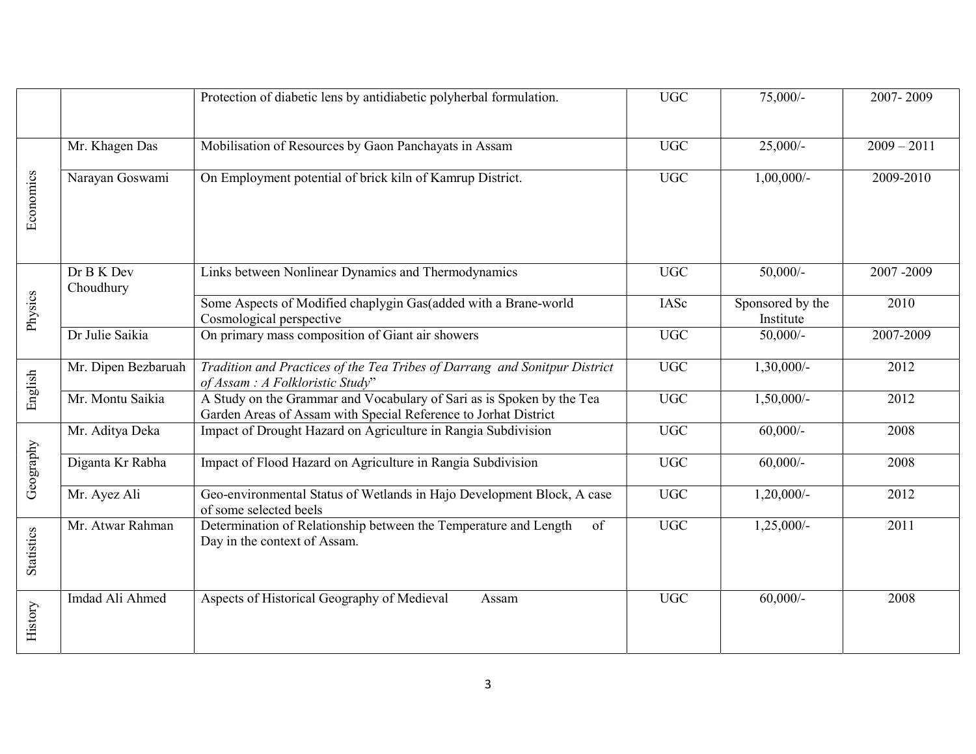|            |                         | Protection of diabetic lens by antidiabetic polyherbal formulation.                                                                      | <b>UGC</b>       | $75,000/-$                    | 2007-2009     |
|------------|-------------------------|------------------------------------------------------------------------------------------------------------------------------------------|------------------|-------------------------------|---------------|
|            | Mr. Khagen Das          | Mobilisation of Resources by Gaon Panchayats in Assam                                                                                    | <b>UGC</b>       | $25,000/$ -                   | $2009 - 2011$ |
| Economics  | Narayan Goswami         | On Employment potential of brick kiln of Kamrup District.                                                                                | <b>UGC</b>       | $1,00,000/-$                  | 2009-2010     |
|            | Dr B K Dev<br>Choudhury | Links between Nonlinear Dynamics and Thermodynamics                                                                                      | <b>UGC</b>       | $50,000/$ -                   | $2007 - 2009$ |
| Physics    |                         | Some Aspects of Modified chaplygin Gas(added with a Brane-world<br>Cosmological perspective                                              | IASc             | Sponsored by the<br>Institute | 2010          |
|            | Dr Julie Saikia         | On primary mass composition of Giant air showers                                                                                         | $\overline{UGC}$ | $50,000/$ -                   | 2007-2009     |
|            | Mr. Dipen Bezbaruah     | Tradition and Practices of the Tea Tribes of Darrang and Sonitpur District<br>of Assam : A Folkloristic Study"                           | <b>UGC</b>       | $1,30,000/-$                  | 2012          |
| English    | Mr. Montu Saikia        | A Study on the Grammar and Vocabulary of Sari as is Spoken by the Tea<br>Garden Areas of Assam with Special Reference to Jorhat District | <b>UGC</b>       | $1,50,000/-$                  | 2012          |
|            | Mr. Aditya Deka         | Impact of Drought Hazard on Agriculture in Rangia Subdivision                                                                            | <b>UGC</b>       | $60,000/$ -                   | 2008          |
| Geography  | Diganta Kr Rabha        | Impact of Flood Hazard on Agriculture in Rangia Subdivision                                                                              | <b>UGC</b>       | $60,000/$ -                   | 2008          |
|            | Mr. Ayez Ali            | Geo-environmental Status of Wetlands in Hajo Development Block, A case<br>of some selected beels                                         | <b>UGC</b>       | $1,20,000/-$                  | 2012          |
| Statistics | Mr. Atwar Rahman        | Determination of Relationship between the Temperature and Length<br>of<br>Day in the context of Assam.                                   | <b>UGC</b>       | $1,25,000/-$                  | 2011          |
| History    | Imdad Ali Ahmed         | Aspects of Historical Geography of Medieval<br>Assam                                                                                     | <b>UGC</b>       | $60,000/$ -                   | 2008          |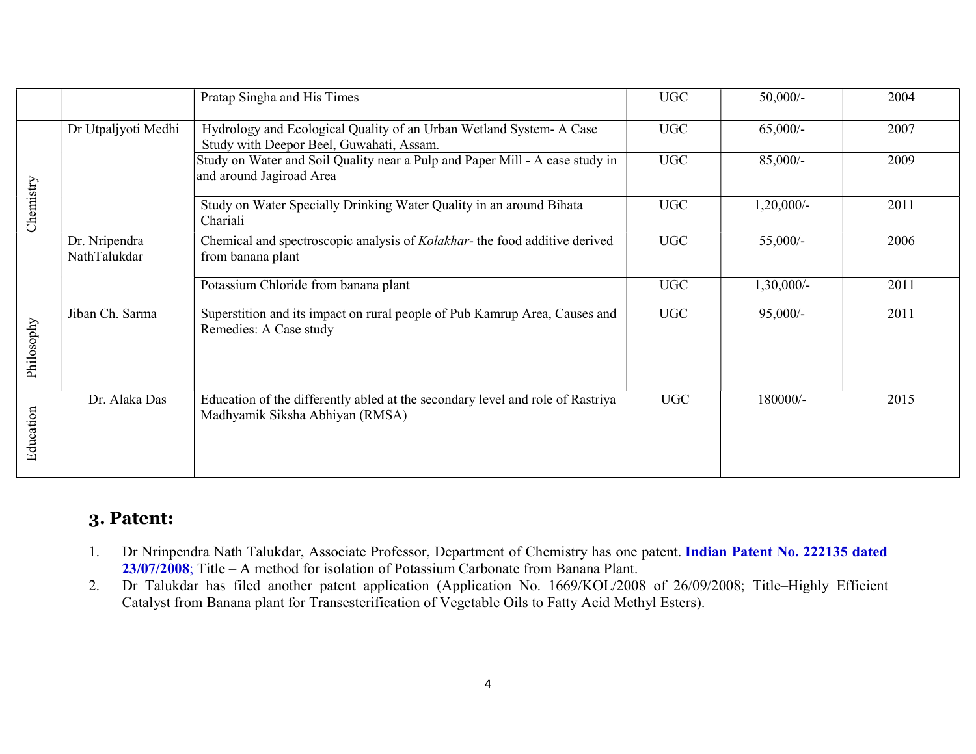|            |                                                                                                                                  | Pratap Singha and His Times                                                                                       | <b>UGC</b> | $50,000/$ -  | 2004 |
|------------|----------------------------------------------------------------------------------------------------------------------------------|-------------------------------------------------------------------------------------------------------------------|------------|--------------|------|
|            | Dr Utpaljyoti Medhi                                                                                                              | Hydrology and Ecological Quality of an Urban Wetland System- A Case<br>Study with Deepor Beel, Guwahati, Assam.   | <b>UGC</b> | $65,000/$ -  | 2007 |
| Chemistry  | Study on Water and Soil Quality near a Pulp and Paper Mill - A case study in<br>and around Jagiroad Area                         |                                                                                                                   | <b>UGC</b> | $85,000/$ -  | 2009 |
|            |                                                                                                                                  | Study on Water Specially Drinking Water Quality in an around Bihata<br>Chariali                                   | <b>UGC</b> | $1,20,000/-$ | 2011 |
|            | Dr. Nripendra<br>Chemical and spectroscopic analysis of Kolakhar- the food additive derived<br>NathTalukdar<br>from banana plant |                                                                                                                   | <b>UGC</b> | 55,000/-     | 2006 |
|            |                                                                                                                                  | Potassium Chloride from banana plant                                                                              | <b>UGC</b> | $1,30,000/-$ | 2011 |
| Philosophy | Jiban Ch. Sarma                                                                                                                  | Superstition and its impact on rural people of Pub Kamrup Area, Causes and<br>Remedies: A Case study              | <b>UGC</b> | $95,000/-$   | 2011 |
| Education  | Dr. Alaka Das                                                                                                                    | Education of the differently abled at the secondary level and role of Rastriya<br>Madhyamik Siksha Abhiyan (RMSA) | <b>UGC</b> | 180000/-     | 2015 |

#### 3. Patent:

- 1. Dr Nrinpendra Nath Talukdar, Associate Professor, Department of Chemistry has one patent. Indian Patent No. 222135 dated 23/07/2008; Title – A method for isolation of Potassium Carbonate from Banana Plant.
- 2. Dr Talukdar has filed another patent application (Application No. 1669/KOL/2008 of 26/09/2008; Title–Highly Efficient Catalyst from Banana plant for Transesterification of Vegetable Oils to Fatty Acid Methyl Esters).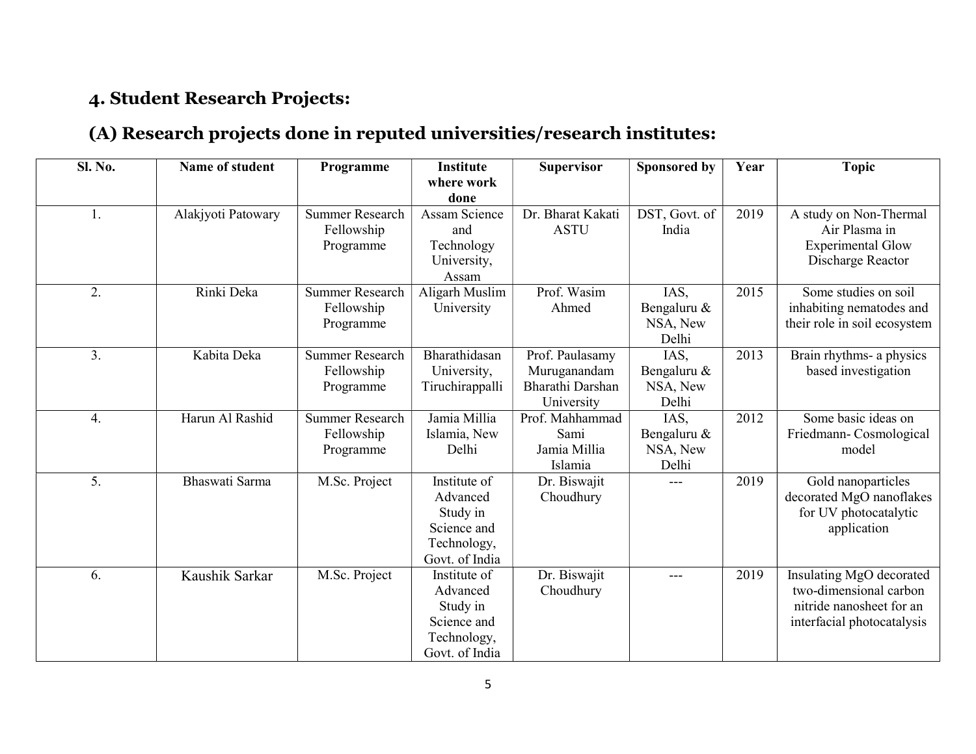### 4. Student Research Projects:

# (A) Research projects done in reputed universities/research institutes:

| <b>Sl. No.</b> | Name of student    | Programme                                         | <b>Institute</b>                                                                     | <b>Supervisor</b>                                                 | Sponsored by                             | Year | <b>Topic</b>                                                                                                 |
|----------------|--------------------|---------------------------------------------------|--------------------------------------------------------------------------------------|-------------------------------------------------------------------|------------------------------------------|------|--------------------------------------------------------------------------------------------------------------|
|                |                    |                                                   | where work<br>done                                                                   |                                                                   |                                          |      |                                                                                                              |
| 1.             | Alakjyoti Patowary | <b>Summer Research</b><br>Fellowship<br>Programme | Assam Science<br>and<br>Technology<br>University,<br>Assam                           | Dr. Bharat Kakati<br><b>ASTU</b>                                  | DST, Govt. of<br>India                   | 2019 | A study on Non-Thermal<br>Air Plasma in<br><b>Experimental Glow</b><br>Discharge Reactor                     |
| 2.             | Rinki Deka         | <b>Summer Research</b><br>Fellowship<br>Programme | Aligarh Muslim<br>University                                                         | Prof. Wasim<br>Ahmed                                              | IAS,<br>Bengaluru &<br>NSA, New<br>Delhi | 2015 | Some studies on soil<br>inhabiting nematodes and<br>their role in soil ecosystem                             |
| 3.             | Kabita Deka        | <b>Summer Research</b><br>Fellowship<br>Programme | Bharathidasan<br>University,<br>Tiruchirappalli                                      | Prof. Paulasamy<br>Muruganandam<br>Bharathi Darshan<br>University | IAS,<br>Bengaluru &<br>NSA, New<br>Delhi | 2013 | Brain rhythms- a physics<br>based investigation                                                              |
| 4.             | Harun Al Rashid    | <b>Summer Research</b><br>Fellowship<br>Programme | Jamia Millia<br>Islamia, New<br>Delhi                                                | Prof. Mahhammad<br>Sami<br>Jamia Millia<br>Islamia                | IAS,<br>Bengaluru &<br>NSA, New<br>Delhi | 2012 | Some basic ideas on<br>Friedmann-Cosmological<br>model                                                       |
| 5.             | Bhaswati Sarma     | M.Sc. Project                                     | Institute of<br>Advanced<br>Study in<br>Science and<br>Technology,<br>Govt. of India | Dr. Biswajit<br>Choudhury                                         | ---                                      | 2019 | Gold nanoparticles<br>decorated MgO nanoflakes<br>for UV photocatalytic<br>application                       |
| 6.             | Kaushik Sarkar     | M.Sc. Project                                     | Institute of<br>Advanced<br>Study in<br>Science and<br>Technology,<br>Govt. of India | Dr. Biswajit<br>Choudhury                                         | ---                                      | 2019 | Insulating MgO decorated<br>two-dimensional carbon<br>nitride nanosheet for an<br>interfacial photocatalysis |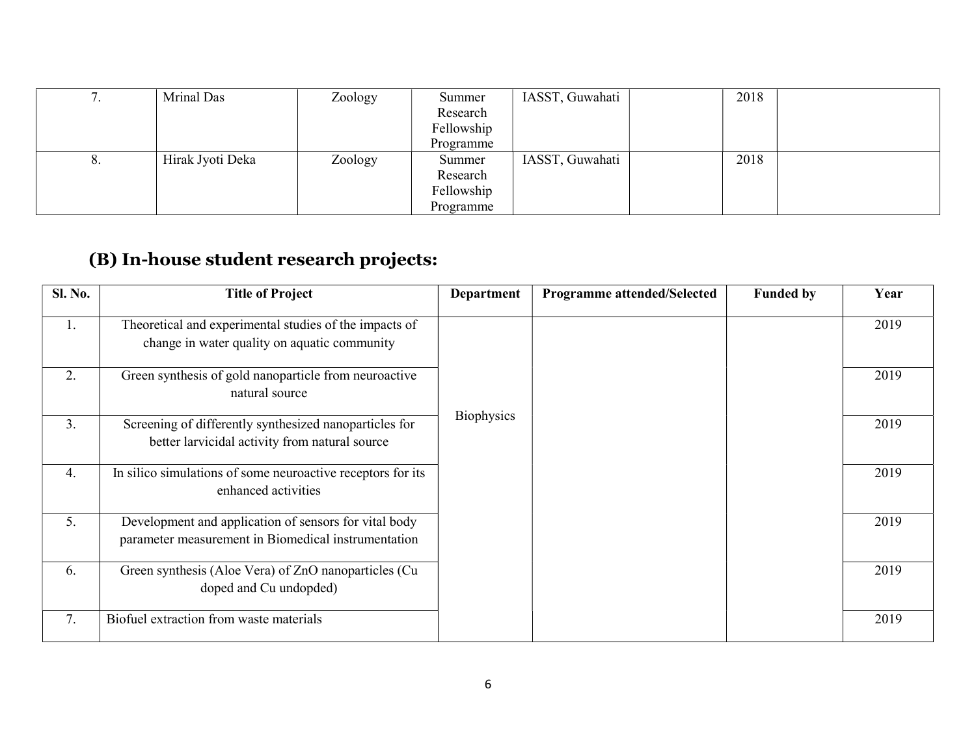|    | Mrinal Das       | Zoology | Summer     | IASST, Guwahati | 2018 |  |
|----|------------------|---------|------------|-----------------|------|--|
|    |                  |         | Research   |                 |      |  |
|    |                  |         | Fellowship |                 |      |  |
|    |                  |         | Programme  |                 |      |  |
| Ō. | Hirak Jyoti Deka | Zoology | Summer     | IASST, Guwahati | 2018 |  |
|    |                  |         | Research   |                 |      |  |
|    |                  |         | Fellowship |                 |      |  |
|    |                  |         | Programme  |                 |      |  |

# (B) In-house student research projects:

| <b>Sl. No.</b> | <b>Title of Project</b>                                                                                      | <b>Department</b> | <b>Programme attended/Selected</b> | <b>Funded by</b> | Year |
|----------------|--------------------------------------------------------------------------------------------------------------|-------------------|------------------------------------|------------------|------|
| 1.             | Theoretical and experimental studies of the impacts of<br>change in water quality on aquatic community       |                   |                                    |                  | 2019 |
| 2.             | Green synthesis of gold nanoparticle from neuroactive<br>natural source                                      |                   |                                    |                  | 2019 |
| 3.             | Screening of differently synthesized nanoparticles for<br>better larvicidal activity from natural source     | Biophysics        |                                    |                  | 2019 |
| 4.             | In silico simulations of some neuroactive receptors for its<br>enhanced activities                           |                   |                                    |                  | 2019 |
| 5.             | Development and application of sensors for vital body<br>parameter measurement in Biomedical instrumentation |                   |                                    |                  | 2019 |
| 6.             | Green synthesis (Aloe Vera) of ZnO nanoparticles (Cu<br>doped and Cu undopded)                               |                   |                                    |                  | 2019 |
| 7.             | Biofuel extraction from waste materials                                                                      |                   |                                    |                  | 2019 |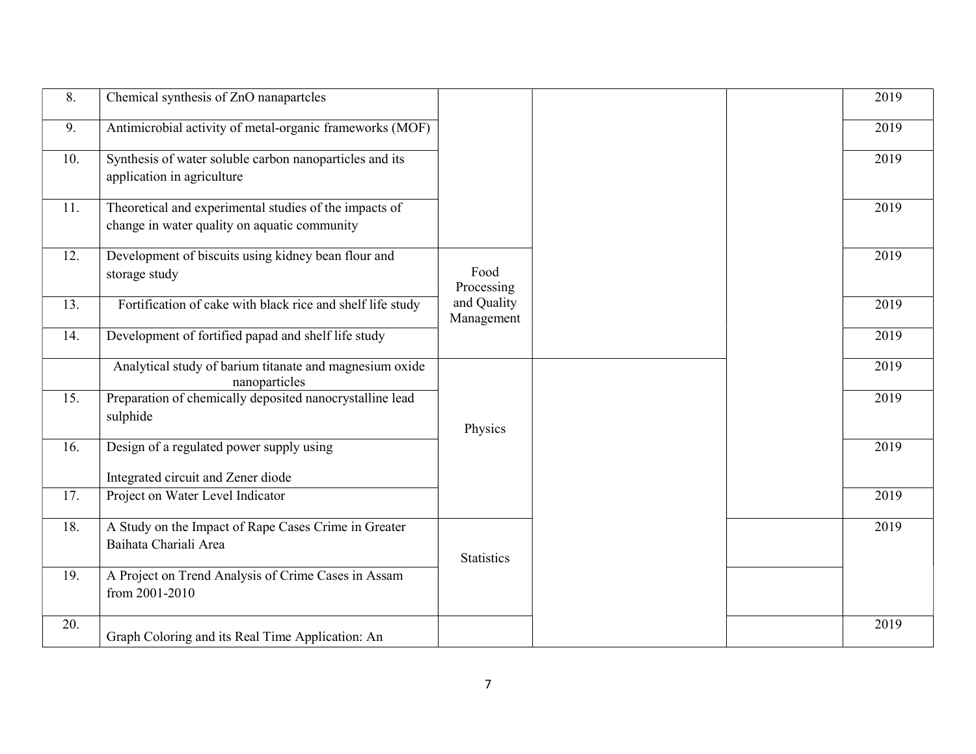| 8.  | Chemical synthesis of ZnO nanapartcles                                                                 |                           |  | 2019 |
|-----|--------------------------------------------------------------------------------------------------------|---------------------------|--|------|
| 9.  | Antimicrobial activity of metal-organic frameworks (MOF)                                               |                           |  | 2019 |
| 10. | Synthesis of water soluble carbon nanoparticles and its<br>application in agriculture                  |                           |  | 2019 |
| 11. | Theoretical and experimental studies of the impacts of<br>change in water quality on aquatic community |                           |  | 2019 |
| 12. | Development of biscuits using kidney bean flour and<br>storage study                                   | Food<br>Processing        |  | 2019 |
| 13. | Fortification of cake with black rice and shelf life study                                             | and Quality<br>Management |  | 2019 |
| 14. | Development of fortified papad and shelf life study                                                    |                           |  | 2019 |
|     | Analytical study of barium titanate and magnesium oxide<br>nanoparticles                               |                           |  | 2019 |
| 15. | Preparation of chemically deposited nanocrystalline lead<br>sulphide                                   | Physics                   |  | 2019 |
| 16. | Design of a regulated power supply using<br>Integrated circuit and Zener diode                         |                           |  | 2019 |
| 17. | Project on Water Level Indicator                                                                       |                           |  | 2019 |
| 18. | A Study on the Impact of Rape Cases Crime in Greater<br>Baihata Chariali Area                          | <b>Statistics</b>         |  | 2019 |
| 19. | A Project on Trend Analysis of Crime Cases in Assam<br>from 2001-2010                                  |                           |  |      |
| 20. | Graph Coloring and its Real Time Application: An                                                       |                           |  | 2019 |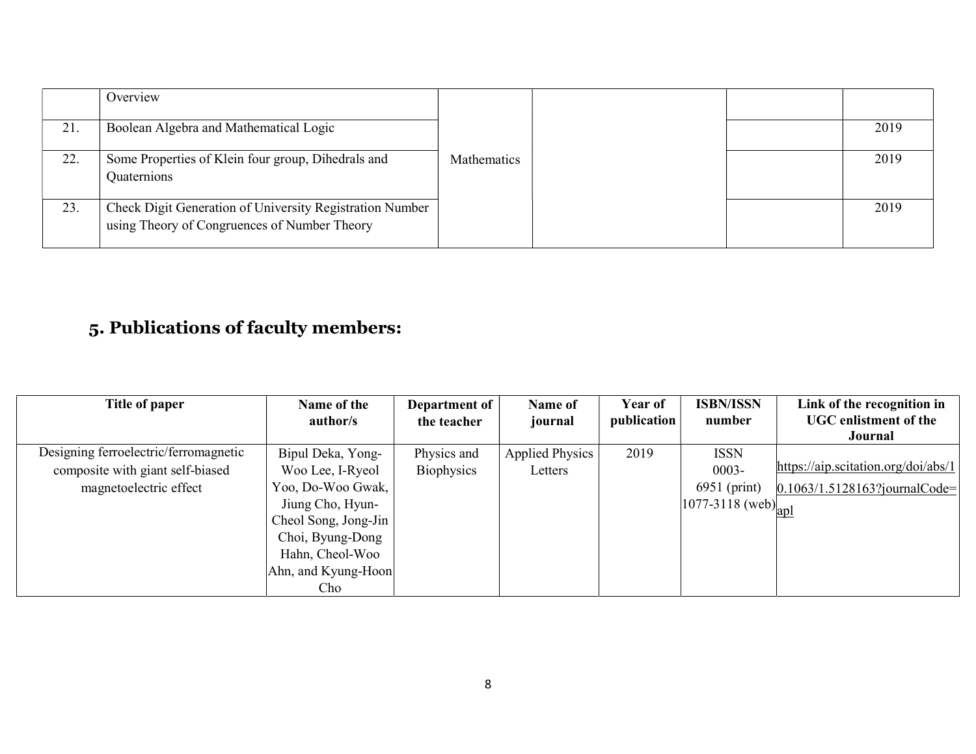|     | Overview                                                                                                 |             |  |      |
|-----|----------------------------------------------------------------------------------------------------------|-------------|--|------|
| 21. | Boolean Algebra and Mathematical Logic                                                                   |             |  | 2019 |
| 22. | Some Properties of Klein four group, Dihedrals and<br>Quaternions                                        | Mathematics |  | 2019 |
| 23. | Check Digit Generation of University Registration Number<br>using Theory of Congruences of Number Theory |             |  | 2019 |

# 5. Publications of faculty members:

| Title of paper                        | Name of the          | Department of | Name of                | <b>Year of</b> | <b>ISBN/ISSN</b>                    | Link of the recognition in          |
|---------------------------------------|----------------------|---------------|------------------------|----------------|-------------------------------------|-------------------------------------|
|                                       | author/s             | the teacher   | journal                | publication    | number                              | <b>UGC</b> enlistment of the        |
|                                       |                      |               |                        |                |                                     | Journal                             |
| Designing ferroelectric/ferromagnetic | Bipul Deka, Yong-    | Physics and   | <b>Applied Physics</b> | 2019           | <b>ISSN</b>                         |                                     |
| composite with giant self-biased      | Woo Lee, I-Ryeol     | Biophysics    | Letters                |                | $0003 -$                            | https://aip.scitation.org/doi/abs/1 |
| magnetoelectric effect                | Yoo, Do-Woo Gwak,    |               |                        |                | 6951 (print)                        | $0.1063/1.5128163?$ journalCode=    |
|                                       | Jiung Cho, Hyun-     |               |                        |                | $1077 - 3118$ (web) $_{\text{ap1}}$ |                                     |
|                                       | Cheol Song, Jong-Jin |               |                        |                |                                     |                                     |
|                                       | Choi, Byung-Dong     |               |                        |                |                                     |                                     |
|                                       | Hahn, Cheol-Woo      |               |                        |                |                                     |                                     |
|                                       | Ahn, and Kyung-Hoon  |               |                        |                |                                     |                                     |
|                                       | Cho                  |               |                        |                |                                     |                                     |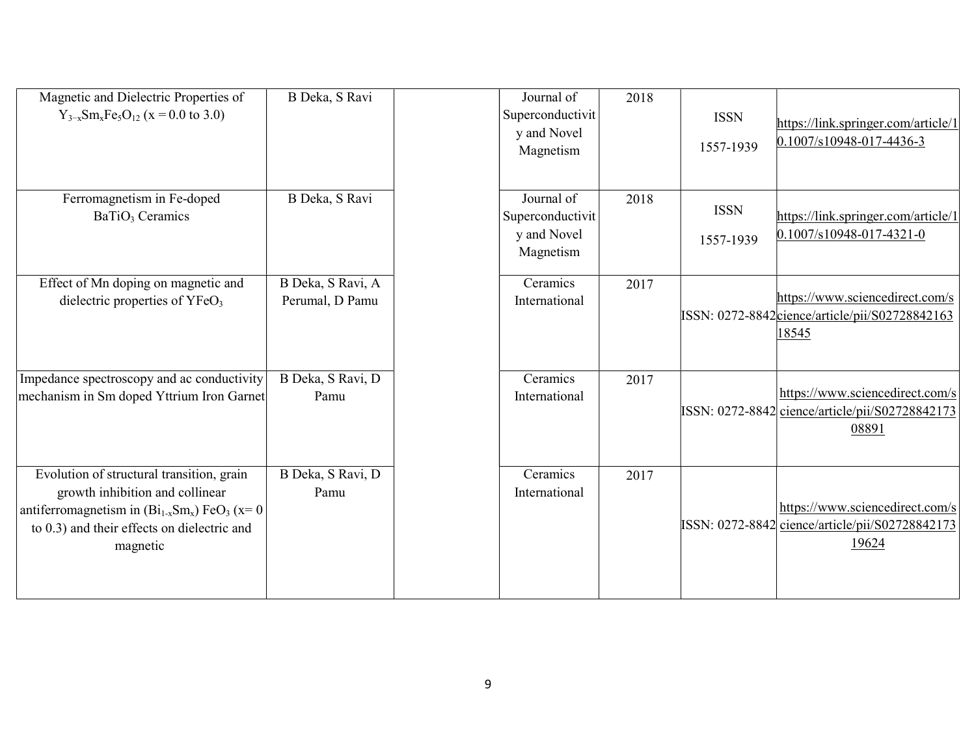| Magnetic and Dielectric Properties of<br>$Y_{3-x}Sm_xFe_5O_{12}$ (x = 0.0 to 3.0)                                                                                                                         | B Deka, S Ravi                       | Journal of<br>Superconductivit<br>y and Novel<br>Magnetism | 2018 | <b>ISSN</b><br>1557-1939 | https://link.springer.com/article/1<br>$0.1007/s10948-017-4436-3$                           |
|-----------------------------------------------------------------------------------------------------------------------------------------------------------------------------------------------------------|--------------------------------------|------------------------------------------------------------|------|--------------------------|---------------------------------------------------------------------------------------------|
| Ferromagnetism in Fe-doped<br>BaTiO <sub>3</sub> Ceramics                                                                                                                                                 | B Deka, S Ravi                       | Journal of<br>Superconductivit<br>y and Novel<br>Magnetism | 2018 | <b>ISSN</b><br>1557-1939 | https://link.springer.com/article/1<br>$0.1007/s10948-017-4321-0$                           |
| Effect of Mn doping on magnetic and<br>dielectric properties of YFeO <sub>3</sub>                                                                                                                         | B Deka, S Ravi, A<br>Perumal, D Pamu | Ceramics<br>International                                  | 2017 |                          | https://www.sciencedirect.com/s<br>ISSN: 0272-8842 cience/article/pii/S02728842163<br>18545 |
| Impedance spectroscopy and ac conductivity<br>mechanism in Sm doped Yttrium Iron Garnet                                                                                                                   | B Deka, S Ravi, D<br>Pamu            | Ceramics<br>International                                  | 2017 |                          | https://www.sciencedirect.com/s<br>ISSN: 0272-8842 cience/article/pii/S02728842173<br>08891 |
| Evolution of structural transition, grain<br>growth inhibition and collinear<br>antiferromagnetism in $(Bi_{1-x}Sm_x)$ FeO <sub>3</sub> (x= 0)<br>to 0.3) and their effects on dielectric and<br>magnetic | B Deka, S Ravi, D<br>Pamu            | Ceramics<br>International                                  | 2017 |                          | https://www.sciencedirect.com/s<br>ISSN: 0272-8842 cience/article/pii/S02728842173<br>19624 |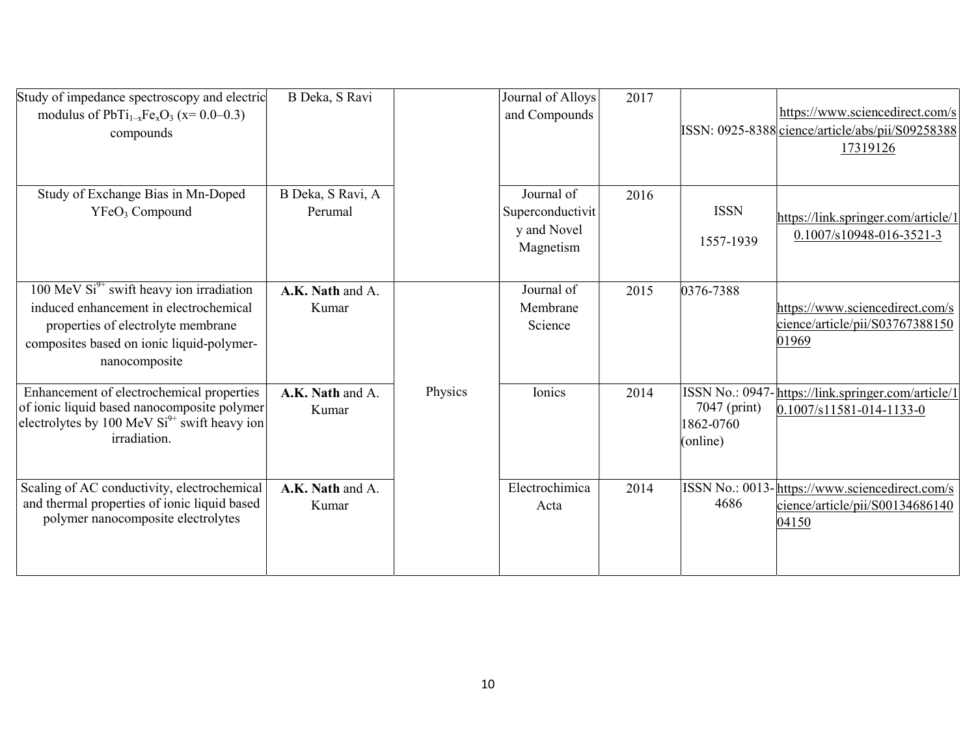| Study of impedance spectroscopy and electric<br>modulus of $PbTi_{1-x}Fe_xO_3$ (x= 0.0–0.3)<br>compounds                                                                                    | B Deka, S Ravi               |         | Journal of Alloys<br>and Compounds                         | 2017 |                                       | https://www.sciencedirect.com/s<br>ISSN: 0925-8388 cience/article/abs/pii/S09258388<br>17319126 |
|---------------------------------------------------------------------------------------------------------------------------------------------------------------------------------------------|------------------------------|---------|------------------------------------------------------------|------|---------------------------------------|-------------------------------------------------------------------------------------------------|
| Study of Exchange Bias in Mn-Doped<br>YFeO <sub>3</sub> Compound                                                                                                                            | B Deka, S Ravi, A<br>Perumal |         | Journal of<br>Superconductivit<br>y and Novel<br>Magnetism | 2016 | <b>ISSN</b><br>1557-1939              | https://link.springer.com/article/1<br>0.1007/s10948-016-3521-3                                 |
| 100 MeV $Si^{9+}$ swift heavy ion irradiation<br>induced enhancement in electrochemical<br>properties of electrolyte membrane<br>composites based on ionic liquid-polymer-<br>nanocomposite | A.K. Nath and A.<br>Kumar    |         | Journal of<br>Membrane<br>Science                          | 2015 | 0376-7388                             | https://www.sciencedirect.com/s<br>cience/article/pii/S03767388150<br>01969                     |
| Enhancement of electrochemical properties<br>of ionic liquid based nanocomposite polymer<br>electrolytes by 100 MeV $Si9+$ swift heavy ion<br>irradiation.                                  | A.K. Nath and A.<br>Kumar    | Physics | Ionics                                                     | 2014 | 7047 (print)<br>1862-0760<br>(online) | ISSN No.: 0947-https://link.springer.com/article/1<br>$0.1007/s11581-014-1133-0$                |
| Scaling of AC conductivity, electrochemical<br>and thermal properties of ionic liquid based<br>polymer nanocomposite electrolytes                                                           | A.K. Nath and A.<br>Kumar    |         | Electrochimica<br>Acta                                     | 2014 | ISSN No.: 0013-<br>4686               | https://www.sciencedirect.com/s<br>cience/article/pii/S00134686140<br>04150                     |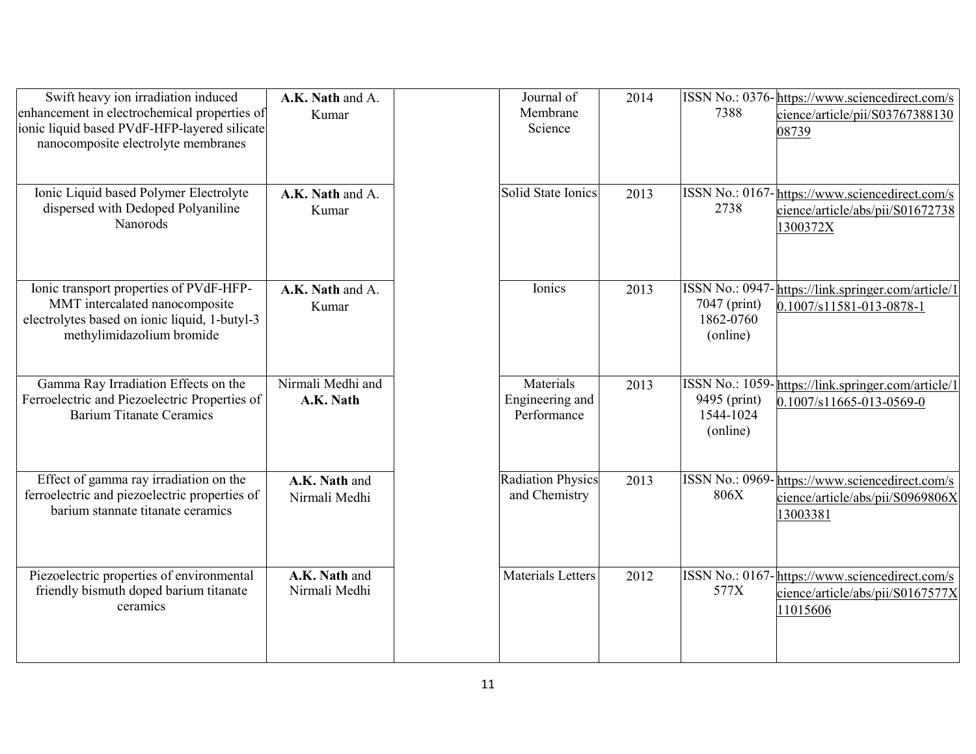| Swift heavy ion irradiation induced                                                                                                                     | A.K. Nath and A.               | Journal of                                  | 2014 |                                                                 | ISSN No.: 0376-https://www.sciencedirect.com/s                                                 |
|---------------------------------------------------------------------------------------------------------------------------------------------------------|--------------------------------|---------------------------------------------|------|-----------------------------------------------------------------|------------------------------------------------------------------------------------------------|
| enhancement in electrochemical properties of<br>ionic liquid based PVdF-HFP-layered silicate<br>nanocomposite electrolyte membranes                     | Kumar                          | Membrane<br>Science                         |      | 7388                                                            | cience/article/pii/S03767388130<br>08739                                                       |
| Ionic Liquid based Polymer Electrolyte<br>dispersed with Dedoped Polyaniline<br>Nanorods                                                                | A.K. Nath and A.<br>Kumar      | Solid State Ionics                          | 2013 | ISSN No.: 0167-<br>2738                                         | https://www.sciencedirect.com/s<br>cience/article/abs/pii/S01672738<br>1300372X                |
| Ionic transport properties of PVdF-HFP-<br>MMT intercalated nanocomposite<br>electrolytes based on ionic liquid, 1-butyl-3<br>methylimidazolium bromide | A.K. Nath and A.<br>Kumar      | Ionics                                      | 2013 | <b>ISSN No.: 0947-</b><br>7047 (print)<br>1862-0760<br>(online) | https://link.springer.com/article/1<br>$0.1007/s11581-013-0878-1$                              |
| Gamma Ray Irradiation Effects on the<br>Ferroelectric and Piezoelectric Properties of<br><b>Barium Titanate Ceramics</b>                                | Nirmali Medhi and<br>A.K. Nath | Materials<br>Engineering and<br>Performance | 2013 | 9495 (print)<br>1544-1024<br>(online)                           | ISSN No.: 1059-https://link.springer.com/article/1<br>$0.1007/s11665-013-0569-0$               |
| Effect of gamma ray irradiation on the<br>ferroelectric and piezoelectric properties of<br>barium stannate titanate ceramics                            | A.K. Nath and<br>Nirmali Medhi | Radiation Physics<br>and Chemistry          | 2013 | 806X                                                            | ISSN No.: 0969-https://www.sciencedirect.com/s<br>cience/article/abs/pii/S0969806X<br>13003381 |
| Piezoelectric properties of environmental<br>friendly bismuth doped barium titanate<br>ceramics                                                         | A.K. Nath and<br>Nirmali Medhi | <b>Materials Letters</b>                    | 2012 | 577X                                                            | ISSN No.: 0167-https://www.sciencedirect.com/s<br>cience/article/abs/pii/S0167577X<br>11015606 |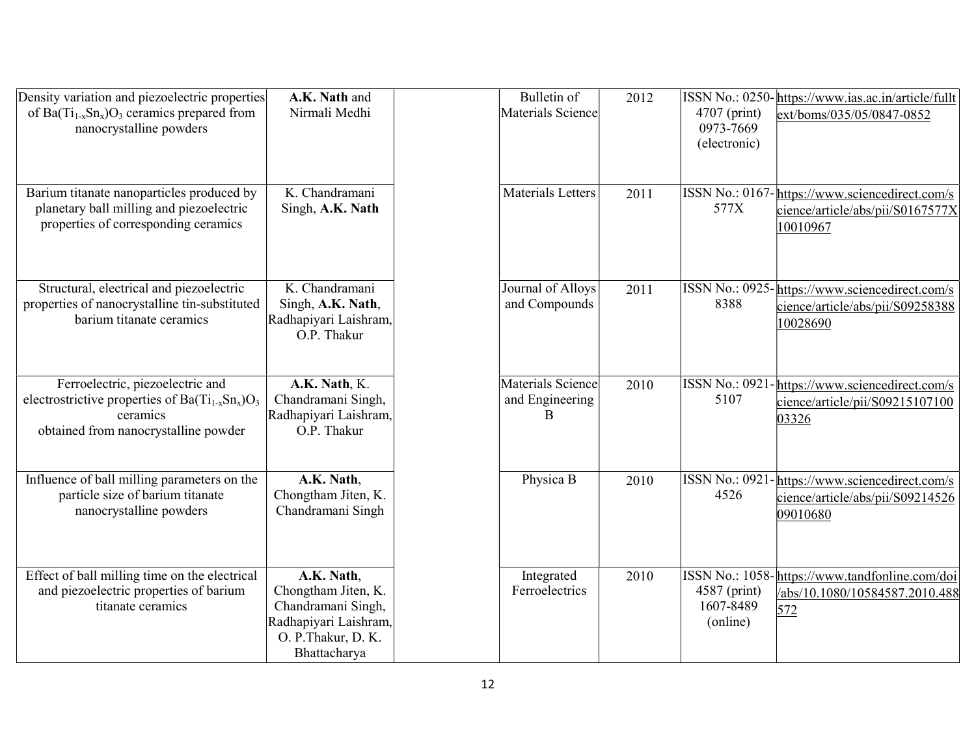| Density variation and piezoelectric properties                                                                                               | A.K. Nath and                                                                                                          | Bulletin of                               | 2012 |                                           | ISSN No.: 0250-https://www.ias.ac.in/article/fullt                                             |
|----------------------------------------------------------------------------------------------------------------------------------------------|------------------------------------------------------------------------------------------------------------------------|-------------------------------------------|------|-------------------------------------------|------------------------------------------------------------------------------------------------|
| of Ba $(T_{1-x}Sn_x)O_3$ ceramics prepared from<br>nanocrystalline powders                                                                   | Nirmali Medhi                                                                                                          | Materials Science                         |      | 4707 (print)<br>0973-7669<br>(electronic) | ext/boms/035/05/0847-0852                                                                      |
| Barium titanate nanoparticles produced by<br>planetary ball milling and piezoelectric<br>properties of corresponding ceramics                | K. Chandramani<br>Singh, A.K. Nath                                                                                     | <b>Materials Letters</b>                  | 2011 | 577X                                      | ISSN No.: 0167-https://www.sciencedirect.com/s<br>cience/article/abs/pii/S0167577X<br>10010967 |
| Structural, electrical and piezoelectric<br>properties of nanocrystalline tin-substituted<br>barium titanate ceramics                        | K. Chandramani<br>Singh, A.K. Nath,<br>Radhapiyari Laishram,<br>O.P. Thakur                                            | Journal of Alloys<br>and Compounds        | 2011 | 8388                                      | ISSN No.: 0925-https://www.sciencedirect.com/s<br>cience/article/abs/pii/S09258388<br>10028690 |
| Ferroelectric, piezoelectric and<br>electrostrictive properties of Ba $(T_{1-x}Sn_x)O_3$<br>ceramics<br>obtained from nanocrystalline powder | A.K. Nath, K.<br>Chandramani Singh,<br>Radhapiyari Laishram,<br>O.P. Thakur                                            | Materials Science<br>and Engineering<br>B | 2010 | 5107                                      | ISSN No.: 0921-https://www.sciencedirect.com/s<br>cience/article/pii/S09215107100<br>03326     |
| Influence of ball milling parameters on the<br>particle size of barium titanate<br>nanocrystalline powders                                   | A.K. Nath,<br>Chongtham Jiten, K.<br>Chandramani Singh                                                                 | Physica B                                 | 2010 | ISSN No.: 0921-<br>4526                   | https://www.sciencedirect.com/s<br>cience/article/abs/pii/S09214526<br>09010680                |
| Effect of ball milling time on the electrical<br>and piezoelectric properties of barium<br>titanate ceramics                                 | A.K. Nath,<br>Chongtham Jiten, K.<br>Chandramani Singh,<br>Radhapiyari Laishram,<br>O. P.Thakur, D. K.<br>Bhattacharya | Integrated<br>Ferroelectrics              | 2010 | 4587 (print)<br>1607-8489<br>(online)     | ISSN No.: 1058-https://www.tandfonline.com/doi<br>abs/10.1080/10584587.2010.488<br>572         |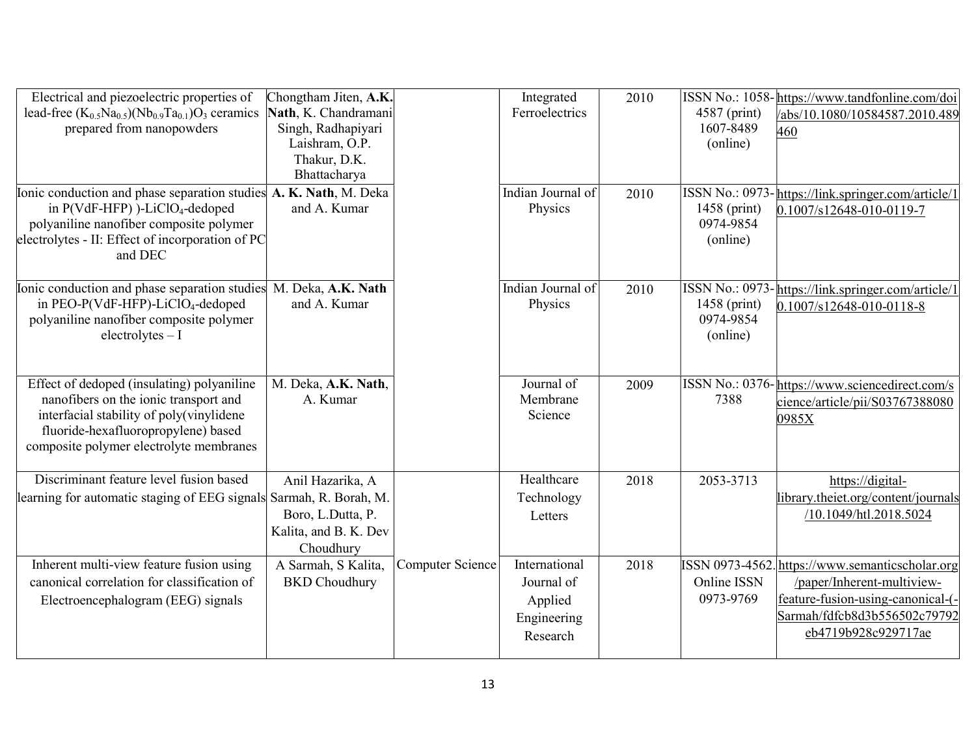| Electrical and piezoelectric properties of                                                                                                                                                                                 | Chongtham Jiten, A.K.                                                                        |                         | Integrated                                                        | 2010 |                                       | ISSN No.: 1058-https://www.tandfonline.com/doi                                                                                                                           |
|----------------------------------------------------------------------------------------------------------------------------------------------------------------------------------------------------------------------------|----------------------------------------------------------------------------------------------|-------------------------|-------------------------------------------------------------------|------|---------------------------------------|--------------------------------------------------------------------------------------------------------------------------------------------------------------------------|
| lead-free $(K_{0.5}Na_{0.5})(Nb_{0.9}Ta_{0.1})O_3$ ceramics<br>prepared from nanopowders                                                                                                                                   | Nath, K. Chandramani<br>Singh, Radhapiyari<br>Laishram, O.P.<br>Thakur, D.K.<br>Bhattacharya |                         | Ferroelectrics                                                    |      | 4587 (print)<br>1607-8489<br>(online) | /abs/10.1080/10584587.2010.489<br>460                                                                                                                                    |
| Ionic conduction and phase separation studies A. K. Nath, M. Deka<br>in P(VdF-HFP) )-LiClO <sub>4</sub> -dedoped<br>polyaniline nanofiber composite polymer<br>electrolytes - II: Effect of incorporation of PC<br>and DEC | and A. Kumar                                                                                 |                         | Indian Journal of<br>Physics                                      | 2010 | 1458 (print)<br>0974-9854<br>(online) | ISSN No.: 0973-https://link.springer.com/article/1<br>$0.1007/s12648-010-0119-7$                                                                                         |
| Ionic conduction and phase separation studies M. Deka, A.K. Nath<br>in PEO-P(VdF-HFP)-LiClO <sub>4</sub> -dedoped<br>polyaniline nanofiber composite polymer<br>$electrolytes-I$                                           | and A. Kumar                                                                                 |                         | Indian Journal of<br>Physics                                      | 2010 | 1458 (print)<br>0974-9854<br>(online) | ISSN No.: 0973-https://link.springer.com/article/1<br>$0.1007/s12648-010-0118-8$                                                                                         |
| Effect of dedoped (insulating) polyaniline<br>nanofibers on the ionic transport and<br>interfacial stability of poly(vinylidene<br>fluoride-hexafluoropropylene) based<br>composite polymer electrolyte membranes          | M. Deka, A.K. Nath,<br>A. Kumar                                                              |                         | Journal of<br>Membrane<br>Science                                 | 2009 | 7388                                  | ISSN No.: 0376-https://www.sciencedirect.com/s<br>cience/article/pii/S03767388080<br>0985X                                                                               |
| Discriminant feature level fusion based<br>learning for automatic staging of EEG signals Sarmah, R. Borah, M.                                                                                                              | Anil Hazarika, A<br>Boro, L.Dutta, P.<br>Kalita, and B. K. Dev<br>Choudhury                  |                         | Healthcare<br>Technology<br>Letters                               | 2018 | 2053-3713                             | https://digital-<br>library.theiet.org/content/journals<br>/10.1049/htl.2018.5024                                                                                        |
| Inherent multi-view feature fusion using<br>canonical correlation for classification of<br>Electroencephalogram (EEG) signals                                                                                              | A Sarmah, S Kalita,<br><b>BKD</b> Choudhury                                                  | <b>Computer Science</b> | International<br>Journal of<br>Applied<br>Engineering<br>Research | 2018 | Online ISSN<br>0973-9769              | ISSN 0973-4562.https://www.semanticscholar.org<br>/paper/Inherent-multiview-<br>feature-fusion-using-canonical-(-<br>Sarmah/fdfcb8d3b556502c79792<br>eb4719b928c929717ae |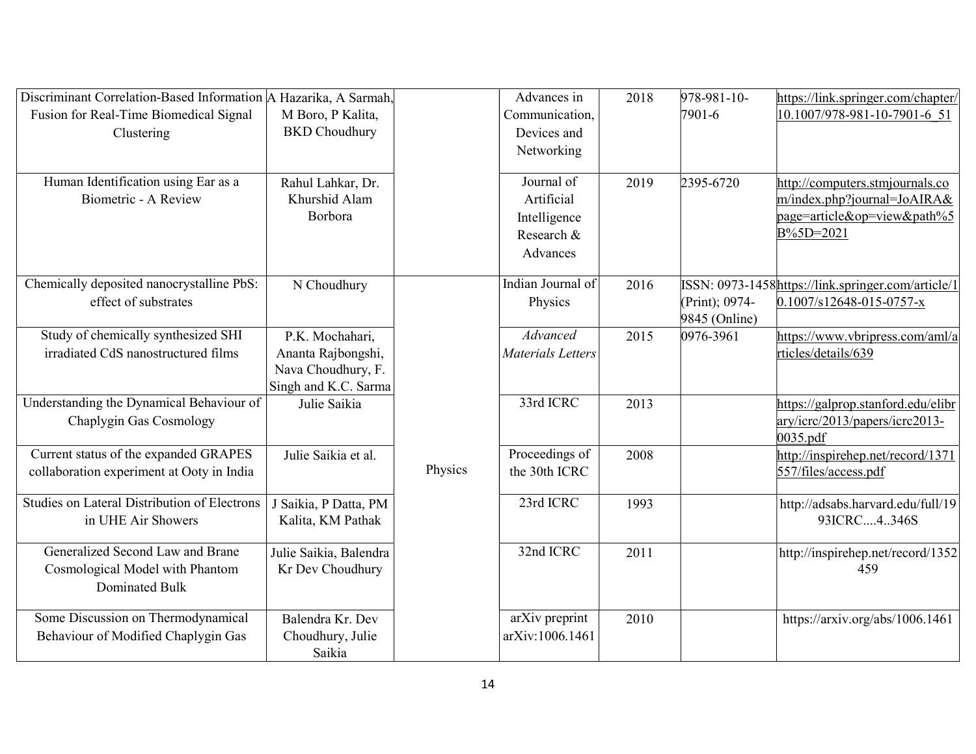| Discriminant Correlation-Based Information  A Hazarika, A Sarmah, |                        |         | Advances in              | 2018 | 978-981-10-    | https://link.springer.com/chapter/                 |
|-------------------------------------------------------------------|------------------------|---------|--------------------------|------|----------------|----------------------------------------------------|
| Fusion for Real-Time Biomedical Signal                            | M Boro, P Kalita,      |         | Communication,           |      | 7901-6         | 10.1007/978-981-10-7901-6 51                       |
| Clustering                                                        | <b>BKD</b> Choudhury   |         | Devices and              |      |                |                                                    |
|                                                                   |                        |         | Networking               |      |                |                                                    |
|                                                                   |                        |         |                          |      |                |                                                    |
| Human Identification using Ear as a                               | Rahul Lahkar, Dr.      |         | Journal of               | 2019 | 2395-6720      | http://computers.stmjournals.co                    |
| Biometric - A Review                                              | Khurshid Alam          |         | Artificial               |      |                | m/index.php?journal=JoAIRA&                        |
|                                                                   | Borbora                |         | Intelligence             |      |                | page=article&op=view&path%5                        |
|                                                                   |                        |         | Research &               |      |                | B%5D=2021                                          |
|                                                                   |                        |         | Advances                 |      |                |                                                    |
| Chemically deposited nanocrystalline PbS:                         | N Choudhury            |         | Indian Journal of        | 2016 |                | ISSN: 0973-1458https://link.springer.com/article/1 |
| effect of substrates                                              |                        |         | Physics                  |      | (Print); 0974- | $0.1007/s12648-015-0757-x$                         |
|                                                                   |                        |         |                          |      | 9845 (Online)  |                                                    |
| Study of chemically synthesized SHI                               | P.K. Mochahari,        |         | Advanced                 | 2015 | 0976-3961      | https://www.vbripress.com/aml/a                    |
| irradiated CdS nanostructured films                               | Ananta Rajbongshi,     |         | <b>Materials Letters</b> |      |                | rticles/details/639                                |
|                                                                   | Nava Choudhury, F.     |         |                          |      |                |                                                    |
|                                                                   | Singh and K.C. Sarma   |         |                          |      |                |                                                    |
| Understanding the Dynamical Behaviour of                          | Julie Saikia           |         | 33rd ICRC                | 2013 |                | https://galprop.stanford.edu/elibr                 |
| Chaplygin Gas Cosmology                                           |                        |         |                          |      |                | ary/icrc/2013/papers/icrc2013-                     |
| Current status of the expanded GRAPES                             | Julie Saikia et al.    |         | Proceedings of           | 2008 |                | 0035.pdf<br>http://inspirehep.net/record/1371      |
| collaboration experiment at Ooty in India                         |                        | Physics | the 30th ICRC            |      |                | 557/files/access.pdf                               |
|                                                                   |                        |         |                          |      |                |                                                    |
| Studies on Lateral Distribution of Electrons                      | J Saikia, P Datta, PM  |         | 23rd ICRC                | 1993 |                | http://adsabs.harvard.edu/full/19                  |
| in UHE Air Showers                                                | Kalita, KM Pathak      |         |                          |      |                | 93ICRC4346S                                        |
| Generalized Second Law and Brane                                  | Julie Saikia, Balendra |         | 32nd ICRC                | 2011 |                | http://inspirehep.net/record/1352                  |
| Cosmological Model with Phantom                                   | Kr Dev Choudhury       |         |                          |      |                | 459                                                |
| Dominated Bulk                                                    |                        |         |                          |      |                |                                                    |
| Some Discussion on Thermodynamical                                | Balendra Kr. Dev       |         | arXiv preprint           | 2010 |                | https://arxiv.org/abs/1006.1461                    |
| Behaviour of Modified Chaplygin Gas                               | Choudhury, Julie       |         | arXiv:1006.1461          |      |                |                                                    |
|                                                                   | Saikia                 |         |                          |      |                |                                                    |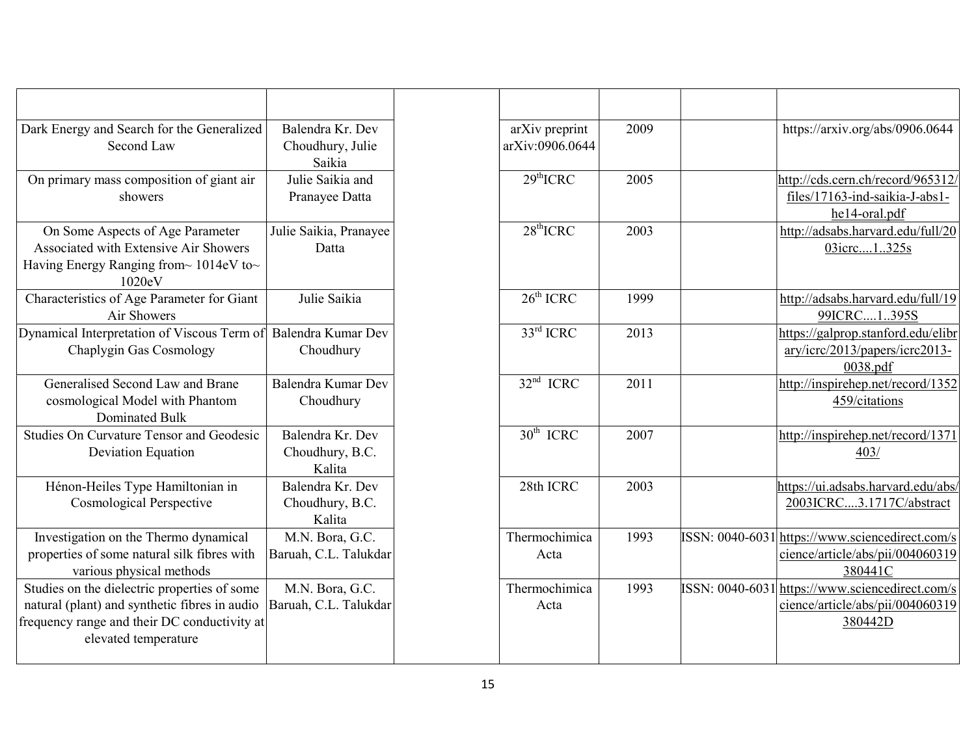| Dark Energy and Search for the Generalized                     | Balendra Kr. Dev       |
|----------------------------------------------------------------|------------------------|
| Second Law                                                     | Choudhury, Julie       |
|                                                                | Saikia                 |
| On primary mass composition of giant air                       | Julie Saikia and       |
| showers                                                        | Pranayee Datta         |
|                                                                |                        |
| On Some Aspects of Age Parameter                               | Julie Saikia, Pranayee |
| Associated with Extensive Air Showers                          | Datta                  |
| Having Energy Ranging from~ 1014eV to~                         |                        |
| 1020eV                                                         |                        |
| Characteristics of Age Parameter for Giant                     | Julie Saikia           |
| Air Showers                                                    |                        |
| Dynamical Interpretation of Viscous Term of Balendra Kumar Dev |                        |
| Chaplygin Gas Cosmology                                        | Choudhury              |
|                                                                |                        |
| Generalised Second Law and Brane                               | Balendra Kumar Dev     |
|                                                                |                        |
| cosmological Model with Phantom                                | Choudhury              |
| <b>Dominated Bulk</b>                                          |                        |
| Studies On Curvature Tensor and Geodesic                       | Balendra Kr. Dev       |
| Deviation Equation                                             | Choudhury, B.C.        |
|                                                                | Kalita                 |
| Hénon-Heiles Type Hamiltonian in                               | Balendra Kr. Dev       |
| <b>Cosmological Perspective</b>                                | Choudhury, B.C.        |
|                                                                | Kalita                 |
| Investigation on the Thermo dynamical                          | M.N. Bora, G.C.        |
| properties of some natural silk fibres with                    | Baruah, C.L. Talukdar  |
| various physical methods                                       |                        |
| Studies on the dielectric properties of some                   | M.N. Bora, G.C.        |
| natural (plant) and synthetic fibres in audio                  | Baruah, C.L. Talukdar  |
| frequency range and their DC conductivity at                   |                        |
| elevated temperature                                           |                        |

| lendra Kr. Dev<br>oudhury, Julie<br>Saikia | arXiv preprint<br>arXiv:0906.0644 | 2009 | https://arxiv.org/abs/0906.0644                                                                |
|--------------------------------------------|-----------------------------------|------|------------------------------------------------------------------------------------------------|
| lie Saikia and<br>anayee Datta             | $29^{\text{th}}$ ICRC             | 2005 | http://cds.cern.ch/record/965312/<br>files/17163-ind-saikia-J-abs1-<br>he14-oral.pdf           |
| Saikia, Pranayee<br>Datta                  | $28^{\text{th}}$ ICRC             | 2003 | http://adsabs.harvard.edu/full/20<br>03icrc1325s                                               |
| Julie Saikia                               | $26^{\text{th}}$ ICRC             | 1999 | http://adsabs.harvard.edu/full/19<br>99ICRC1395S                                               |
| ndra Kumar Dev<br>Choudhury                | $33^{\text{rd}}$ ICRC             | 2013 | https://galprop.stanford.edu/elibr<br>ary/icrc/2013/papers/icrc2013-<br>0038.pdf               |
| ndra Kumar Dev<br>Choudhury                | $32nd$ ICRC                       | 2011 | http://inspirehep.net/record/1352<br>459/citations                                             |
| lendra Kr. Dev<br>oudhury, B.C.<br>Kalita  | $30th$ ICRC                       | 2007 | http://inspirehep.net/record/1371<br>403/                                                      |
| lendra Kr. Dev<br>oudhury, B.C.<br>Kalita  | 28th ICRC                         | 2003 | https://ui.adsabs.harvard.edu/abs/<br>2003ICRC3.1717C/abstract                                 |
| N. Bora, G.C.<br>ah, C.L. Talukdar         | Thermochimica<br>Acta             | 1993 | ISSN: 0040-6031 https://www.sciencedirect.com/s<br>cience/article/abs/pii/004060319<br>380441C |
| N. Bora, G.C.<br>ah, C.L. Talukdar         | Thermochimica<br>Acta             | 1993 | ISSN: 0040-6031 https://www.sciencedirect.com/s<br>cience/article/abs/pii/004060319<br>380442D |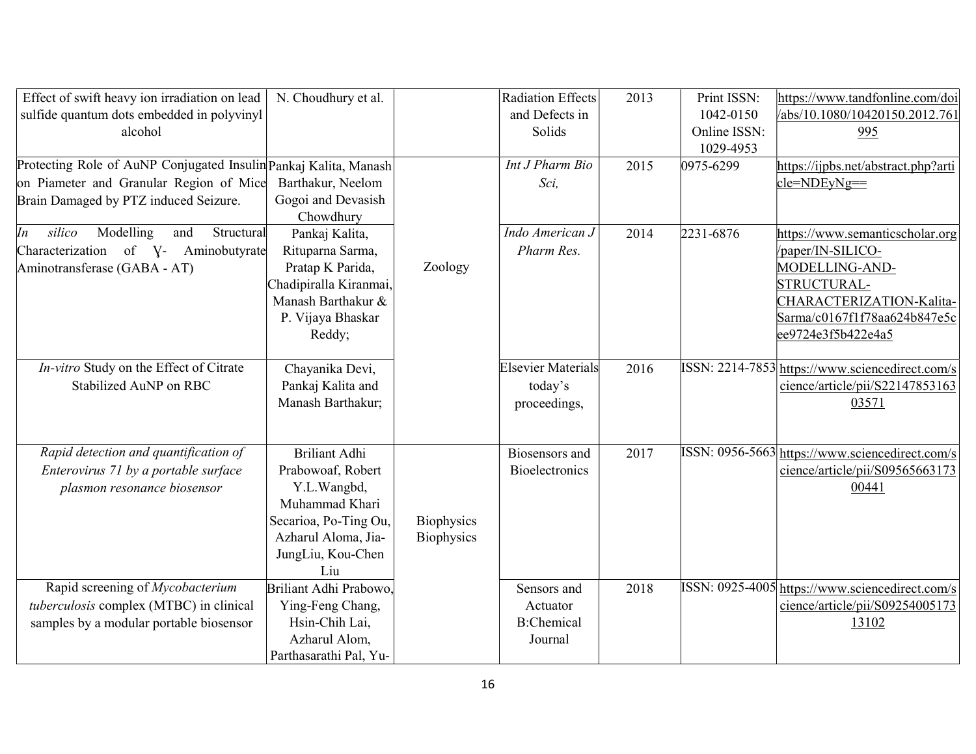| Effect of swift heavy ion irradiation on lead                    | N. Choudhury et al.                  |            | <b>Radiation Effects</b> | 2013 | Print ISSN:  | https://www.tandfonline.com/doi                 |
|------------------------------------------------------------------|--------------------------------------|------------|--------------------------|------|--------------|-------------------------------------------------|
| sulfide quantum dots embedded in polyvinyl                       |                                      |            | and Defects in           |      | 1042-0150    | /abs/10.1080/10420150.2012.761                  |
| alcohol                                                          |                                      |            | Solids                   |      | Online ISSN: | 995                                             |
|                                                                  |                                      |            |                          |      | 1029-4953    |                                                 |
| Protecting Role of AuNP Conjugated Insulin Pankaj Kalita, Manash |                                      |            | Int J Pharm Bio          | 2015 | 0975-6299    | https://ijpbs.net/abstract.php?arti             |
| on Piameter and Granular Region of Mice                          | Barthakur, Neelom                    |            | Sci,                     |      |              | $cle = NDEyNg ==$                               |
| Brain Damaged by PTZ induced Seizure.                            | Gogoi and Devasish                   |            |                          |      |              |                                                 |
|                                                                  | Chowdhury                            |            |                          |      |              |                                                 |
| In<br>Modelling<br>silico<br>Structural<br>and                   | Pankaj Kalita,                       |            | Indo American J          | 2014 | 2231-6876    | https://www.semanticscholar.org                 |
| Characterization of V- Aminobutyrate                             | Rituparna Sarma,                     |            | Pharm Res.               |      |              | /paper/IN-SILICO-                               |
| Aminotransferase (GABA - AT)                                     | Pratap K Parida,                     | Zoology    |                          |      |              | MODELLING-AND-                                  |
|                                                                  | Chadipiralla Kiranmai,               |            |                          |      |              | STRUCTURAL-                                     |
|                                                                  | Manash Barthakur &                   |            |                          |      |              | CHARACTERIZATION-Kalita-                        |
|                                                                  | P. Vijaya Bhaskar                    |            |                          |      |              | Sarma/c0167f1f78aa624b847e5c                    |
|                                                                  | Reddy;                               |            |                          |      |              | ee9724e3f5b422e4a5                              |
| In-vitro Study on the Effect of Citrate                          |                                      |            | Elsevier Materials       | 2016 |              | ISSN: 2214-7853 https://www.sciencedirect.com/s |
| Stabilized AuNP on RBC                                           | Chayanika Devi,<br>Pankaj Kalita and |            | today's                  |      |              | cience/article/pii/S22147853163                 |
|                                                                  | Manash Barthakur;                    |            | proceedings,             |      |              | 03571                                           |
|                                                                  |                                      |            |                          |      |              |                                                 |
|                                                                  |                                      |            |                          |      |              |                                                 |
| Rapid detection and quantification of                            | <b>Briliant Adhi</b>                 |            | Biosensors and           | 2017 |              | ISSN: 0956-5663 https://www.sciencedirect.com/s |
| Enterovirus 71 by a portable surface                             | Prabowoaf, Robert                    |            | <b>Bioelectronics</b>    |      |              | cience/article/pii/S09565663173                 |
| plasmon resonance biosensor                                      | Y.L.Wangbd,                          |            |                          |      |              | 00441                                           |
|                                                                  | Muhammad Khari                       |            |                          |      |              |                                                 |
|                                                                  | Secarioa, Po-Ting Ou,                | Biophysics |                          |      |              |                                                 |
|                                                                  | Azharul Aloma, Jia-                  | Biophysics |                          |      |              |                                                 |
|                                                                  | JungLiu, Kou-Chen                    |            |                          |      |              |                                                 |
|                                                                  | Liu                                  |            |                          |      |              |                                                 |
| Rapid screening of Mycobacterium                                 | Briliant Adhi Prabowo,               |            | Sensors and              | 2018 |              | ISSN: 0925-4005 https://www.sciencedirect.com/s |
| tuberculosis complex (MTBC) in clinical                          | Ying-Feng Chang,                     |            | Actuator                 |      |              | cience/article/pii/S09254005173                 |
| samples by a modular portable biosensor                          | Hsin-Chih Lai,                       |            | <b>B:Chemical</b>        |      |              | 13102                                           |
|                                                                  | Azharul Alom,                        |            | Journal                  |      |              |                                                 |
|                                                                  | Parthasarathi Pal, Yu-               |            |                          |      |              |                                                 |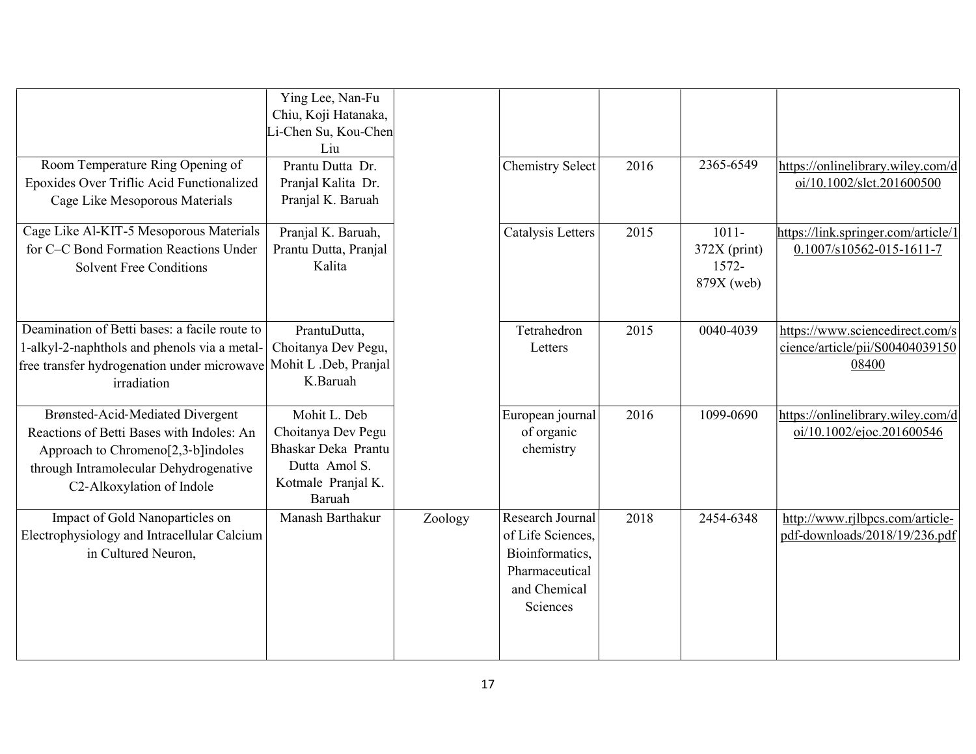|                                                                                                                                                                                            | Ying Lee, Nan-Fu<br>Chiu, Koji Hatanaka,<br>Li-Chen Su, Kou-Chen<br>Liu                                    |         |                                                                                                        |      |                                                      |                                                                             |
|--------------------------------------------------------------------------------------------------------------------------------------------------------------------------------------------|------------------------------------------------------------------------------------------------------------|---------|--------------------------------------------------------------------------------------------------------|------|------------------------------------------------------|-----------------------------------------------------------------------------|
| Room Temperature Ring Opening of<br>Epoxides Over Triflic Acid Functionalized<br>Cage Like Mesoporous Materials                                                                            | Prantu Dutta Dr.<br>Pranjal Kalita Dr.<br>Pranjal K. Baruah                                                |         | <b>Chemistry Select</b>                                                                                | 2016 | 2365-6549                                            | https://onlinelibrary.wiley.com/d<br>oi/10.1002/slct.201600500              |
| Cage Like Al-KIT-5 Mesoporous Materials<br>for C–C Bond Formation Reactions Under<br><b>Solvent Free Conditions</b>                                                                        | Pranjal K. Baruah,<br>Prantu Dutta, Pranjal<br>Kalita                                                      |         | Catalysis Letters                                                                                      | 2015 | $1011 -$<br>$372X$ (print)<br>$1572 -$<br>879X (web) | https://link.springer.com/article/1<br>0.1007/s10562-015-1611-7             |
| Deamination of Betti bases: a facile route to<br>1-alkyl-2-naphthols and phenols via a metal-<br>free transfer hydrogenation under microwave Mohit L .Deb, Pranjal<br>irradiation          | PrantuDutta,<br>Choitanya Dev Pegu,<br>K.Baruah                                                            |         | Tetrahedron<br>Letters                                                                                 | 2015 | 0040-4039                                            | https://www.sciencedirect.com/s<br>cience/article/pii/S00404039150<br>08400 |
| Brønsted-Acid-Mediated Divergent<br>Reactions of Betti Bases with Indoles: An<br>Approach to Chromeno[2,3-b]indoles<br>through Intramolecular Dehydrogenative<br>C2-Alkoxylation of Indole | Mohit L. Deb<br>Choitanya Dev Pegu<br>Bhaskar Deka Prantu<br>Dutta Amol S.<br>Kotmale Pranjal K.<br>Baruah |         | European journal<br>of organic<br>chemistry                                                            | 2016 | 1099-0690                                            | https://onlinelibrary.wiley.com/d<br>oi/10.1002/ejoc.201600546              |
| Impact of Gold Nanoparticles on<br>Electrophysiology and Intracellular Calcium<br>in Cultured Neuron,                                                                                      | Manash Barthakur                                                                                           | Zoology | Research Journal<br>of Life Sciences,<br>Bioinformatics,<br>Pharmaceutical<br>and Chemical<br>Sciences | 2018 | 2454-6348                                            | http://www.rjlbpcs.com/article-<br>pdf-downloads/2018/19/236.pdf            |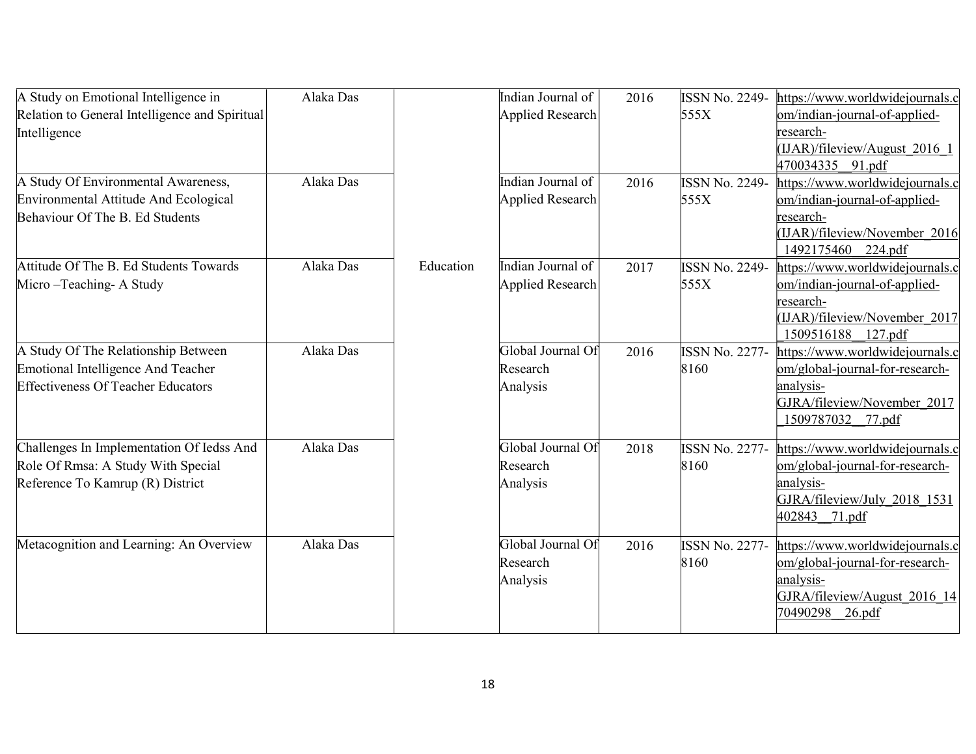| A Study on Emotional Intelligence in           | Alaka Das |           | Indian Journal of | 2016 | ISSN No. 2249-        | https://www.worldwidejournals.c                 |
|------------------------------------------------|-----------|-----------|-------------------|------|-----------------------|-------------------------------------------------|
| Relation to General Intelligence and Spiritual |           |           | Applied Research  |      | 555X                  | om/indian-journal-of-applied-                   |
| Intelligence                                   |           |           |                   |      |                       | research-                                       |
|                                                |           |           |                   |      |                       | (IJAR)/fileview/August 2016 1                   |
|                                                |           |           |                   |      |                       | 470034335 91.pdf                                |
| A Study Of Environmental Awareness,            | Alaka Das |           | Indian Journal of | 2016 | <b>ISSN No. 2249-</b> | https://www.worldwidejournals.c                 |
| <b>Environmental Attitude And Ecological</b>   |           |           | Applied Research  |      | 555X                  | om/indian-journal-of-applied-                   |
| Behaviour Of The B. Ed Students                |           |           |                   |      |                       | research-                                       |
|                                                |           |           |                   |      |                       | (IJAR)/fileview/November 2016                   |
|                                                |           |           |                   |      |                       | 1492175460 224.pdf                              |
| Attitude Of The B. Ed Students Towards         | Alaka Das | Education | Indian Journal of | 2017 | <b>ISSN No. 2249-</b> | https://www.worldwidejournals.c                 |
| Micro-Teaching-A Study                         |           |           | Applied Research  |      | 555X                  | om/indian-journal-of-applied-                   |
|                                                |           |           |                   |      |                       | research-                                       |
|                                                |           |           |                   |      |                       | (IJAR)/fileview/November 2017                   |
|                                                |           |           |                   |      |                       | 1509516188 127.pdf                              |
| A Study Of The Relationship Between            | Alaka Das |           | Global Journal Of | 2016 | <b>ISSN No. 2277-</b> | https://www.worldwidejournals.c                 |
| Emotional Intelligence And Teacher             |           |           | Research          |      | 8160                  | om/global-journal-for-research-                 |
| <b>Effectiveness Of Teacher Educators</b>      |           |           | Analysis          |      |                       | analysis-                                       |
|                                                |           |           |                   |      |                       | GJRA/fileview/November 2017                     |
|                                                |           |           |                   |      |                       | 1509787032 77.pdf                               |
| Challenges In Implementation Of Iedss And      | Alaka Das |           | Global Journal Of | 2018 | <b>ISSN No. 2277-</b> | https://www.worldwidejournals.c                 |
| Role Of Rmsa: A Study With Special             |           |           | Research          |      | 8160                  | om/global-journal-for-research-                 |
| Reference To Kamrup (R) District               |           |           | Analysis          |      |                       | analysis-                                       |
|                                                |           |           |                   |      |                       | GJRA/fileview/July 2018 1531                    |
|                                                |           |           |                   |      |                       | 402843 71.pdf                                   |
|                                                |           |           | Global Journal Of |      |                       |                                                 |
| Metacognition and Learning: An Overview        | Alaka Das |           |                   | 2016 | <b>ISSN No. 2277-</b> | nttps://www.worldwidejournals.c                 |
|                                                |           |           | Research          |      | 8160                  | om/global-journal-for-research-                 |
|                                                |           |           | Analysis          |      |                       | analysis-                                       |
|                                                |           |           |                   |      |                       | GJRA/fileview/August 2016 14<br>70490298 26.pdf |
|                                                |           |           |                   |      |                       |                                                 |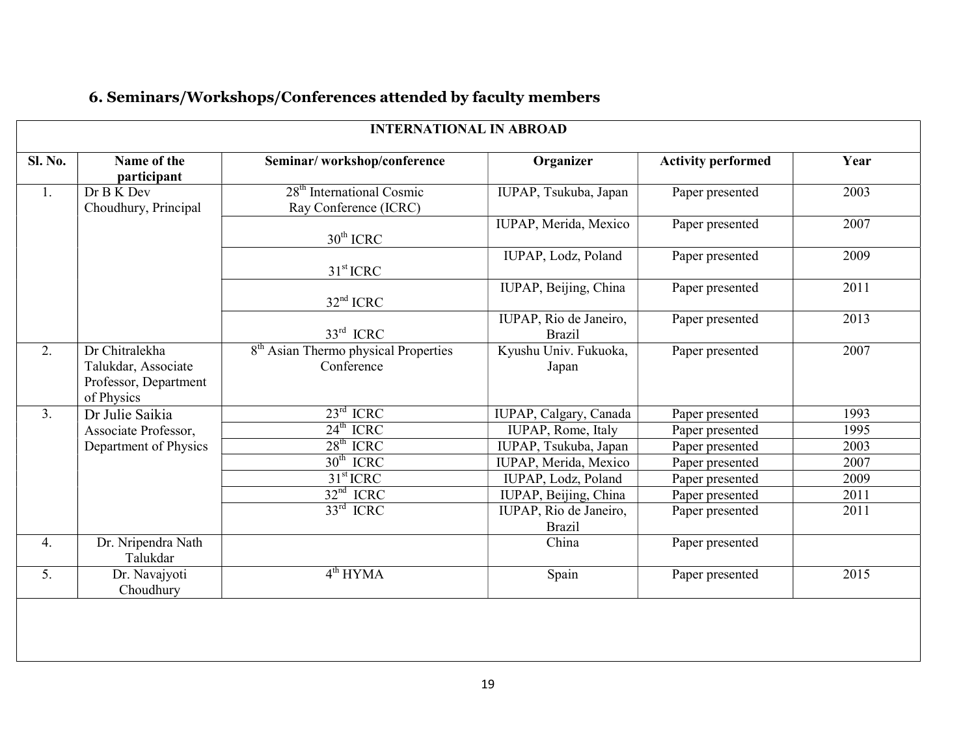### 6. Seminars/Workshops/Conferences attended by faculty members

|                  | <b>INTERNATIONAL IN ABROAD</b>                                               |                                                                |                                         |                           |                   |  |  |  |  |  |
|------------------|------------------------------------------------------------------------------|----------------------------------------------------------------|-----------------------------------------|---------------------------|-------------------|--|--|--|--|--|
| <b>Sl. No.</b>   | Name of the<br>participant                                                   | Seminar/workshop/conference                                    | Organizer                               | <b>Activity performed</b> | Year              |  |  |  |  |  |
| 1.               | Dr B K Dev<br>Choudhury, Principal                                           | 28 <sup>th</sup> International Cosmic<br>Ray Conference (ICRC) | IUPAP, Tsukuba, Japan                   | Paper presented           | 2003              |  |  |  |  |  |
|                  |                                                                              | $30^{\text{th}}$ ICRC                                          | IUPAP, Merida, Mexico                   | Paper presented           | 2007              |  |  |  |  |  |
|                  |                                                                              | $31st$ ICRC                                                    | IUPAP, Lodz, Poland                     | Paper presented           | 2009              |  |  |  |  |  |
|                  |                                                                              | $32nd$ ICRC                                                    | IUPAP, Beijing, China                   | Paper presented           | 2011              |  |  |  |  |  |
|                  |                                                                              | $33^{\text{rd}}$ ICRC                                          | IUPAP, Rio de Janeiro,<br><b>Brazil</b> | Paper presented           | $\overline{2013}$ |  |  |  |  |  |
| 2.               | Dr Chitralekha<br>Talukdar, Associate<br>Professor, Department<br>of Physics | 8 <sup>th</sup> Asian Thermo physical Properties<br>Conference | Kyushu Univ. Fukuoka,<br>Japan          | Paper presented           | 2007              |  |  |  |  |  |
| 3.               | Dr Julie Saikia                                                              | $23^{\text{rd}}$ ICRC                                          | IUPAP, Calgary, Canada                  | Paper presented           | 1993              |  |  |  |  |  |
|                  | Associate Professor,                                                         | $24^{\text{th}}$ ICRC                                          | IUPAP, Rome, Italy                      | Paper presented           | 1995              |  |  |  |  |  |
|                  | Department of Physics                                                        | $28th$ ICRC                                                    | IUPAP, Tsukuba, Japan                   | Paper presented           | 2003              |  |  |  |  |  |
|                  |                                                                              | $30th$ ICRC                                                    | IUPAP, Merida, Mexico                   | Paper presented           | 2007              |  |  |  |  |  |
|                  |                                                                              | $31st$ ICRC                                                    | IUPAP, Lodz, Poland                     | Paper presented           | 2009              |  |  |  |  |  |
|                  |                                                                              | $32nd$ ICRC                                                    | IUPAP, Beijing, China                   | Paper presented           | 2011              |  |  |  |  |  |
|                  |                                                                              | $33rd$ ICRC                                                    | IUPAP, Rio de Janeiro,<br><b>Brazil</b> | Paper presented           | 2011              |  |  |  |  |  |
| 4.               | Dr. Nripendra Nath<br>Talukdar                                               |                                                                | China                                   | Paper presented           |                   |  |  |  |  |  |
| $\overline{5}$ . | Dr. Navajyoti<br>Choudhury                                                   | 4 <sup>th</sup> HYMA                                           | Spain                                   | Paper presented           | 2015              |  |  |  |  |  |
|                  |                                                                              |                                                                |                                         |                           |                   |  |  |  |  |  |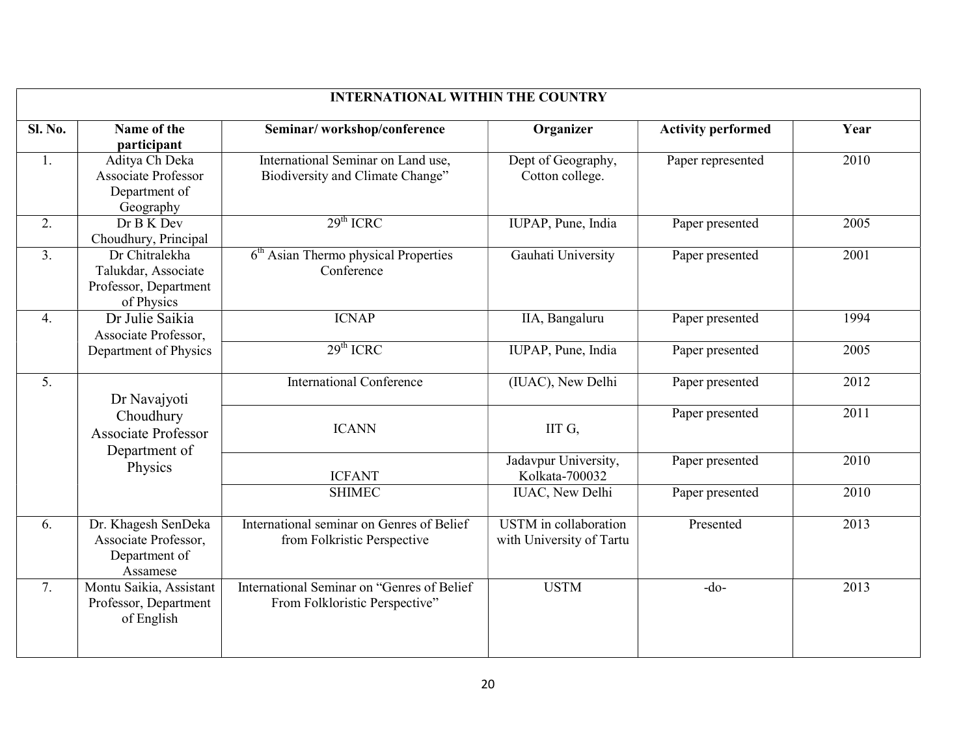|                  | <b>INTERNATIONAL WITHIN THE COUNTRY</b>                                      |                                                                              |                                                          |                           |                   |  |  |  |  |
|------------------|------------------------------------------------------------------------------|------------------------------------------------------------------------------|----------------------------------------------------------|---------------------------|-------------------|--|--|--|--|
| Sl. No.          | Name of the<br>participant                                                   | Seminar/workshop/conference                                                  | Organizer                                                | <b>Activity performed</b> | Year              |  |  |  |  |
| 1.               | Aditya Ch Deka<br><b>Associate Professor</b><br>Department of<br>Geography   | International Seminar on Land use,<br>Biodiversity and Climate Change"       | Dept of Geography,<br>Cotton college.                    | Paper represented         | 2010              |  |  |  |  |
| 2.               | Dr B K Dev<br>Choudhury, Principal                                           | $29th$ ICRC                                                                  | IUPAP, Pune, India                                       | Paper presented           | 2005              |  |  |  |  |
| 3.               | Dr Chitralekha<br>Talukdar, Associate<br>Professor, Department<br>of Physics | $6th$ Asian Thermo physical Properties<br>Conference                         | Gauhati University                                       | Paper presented           | 2001              |  |  |  |  |
| 4.               | Dr Julie Saikia<br>Associate Professor,                                      | <b>ICNAP</b>                                                                 | IIA, Bangaluru                                           | Paper presented           | 1994              |  |  |  |  |
|                  | Department of Physics                                                        | $29th$ ICRC                                                                  | IUPAP, Pune, India                                       | Paper presented           | 2005              |  |  |  |  |
| $\overline{5}$ . | Dr Navajyoti                                                                 | <b>International Conference</b>                                              | (IUAC), New Delhi                                        | Paper presented           | 2012              |  |  |  |  |
|                  | Choudhury<br>Associate Professor<br>Department of                            | <b>ICANN</b>                                                                 | IIT G,                                                   | Paper presented           | $\overline{2011}$ |  |  |  |  |
|                  | Physics                                                                      | <b>ICFANT</b>                                                                | Jadavpur University,<br>Kolkata-700032                   | Paper presented           | 2010              |  |  |  |  |
|                  |                                                                              | <b>SHIMEC</b>                                                                | <b>IUAC</b> , New Delhi                                  | Paper presented           | 2010              |  |  |  |  |
| 6.               | Dr. Khagesh SenDeka<br>Associate Professor,<br>Department of<br>Assamese     | International seminar on Genres of Belief<br>from Folkristic Perspective     | <b>USTM</b> in collaboration<br>with University of Tartu | Presented                 | 2013              |  |  |  |  |
| 7.               | Montu Saikia, Assistant<br>Professor, Department<br>of English               | International Seminar on "Genres of Belief<br>From Folkloristic Perspective" | <b>USTM</b>                                              | $-do-$                    | 2013              |  |  |  |  |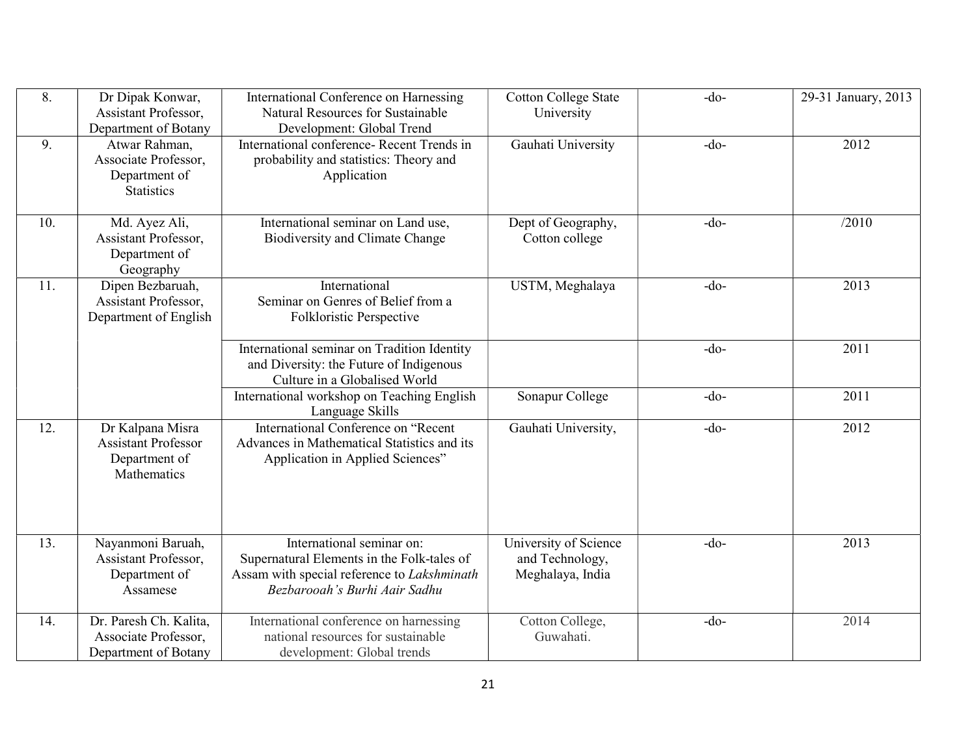| 8.  | Dr Dipak Konwar,<br>Assistant Professor,<br>Department of Botany               | International Conference on Harnessing<br>Natural Resources for Sustainable<br>Development: Global Trend                                                | <b>Cotton College State</b><br>University                    | $-do-$ | 29-31 January, 2013 |
|-----|--------------------------------------------------------------------------------|---------------------------------------------------------------------------------------------------------------------------------------------------------|--------------------------------------------------------------|--------|---------------------|
| 9.  | Atwar Rahman,<br>Associate Professor,<br>Department of<br><b>Statistics</b>    | International conference- Recent Trends in<br>probability and statistics: Theory and<br>Application                                                     | Gauhati University                                           | $-do-$ | 2012                |
| 10. | Md. Ayez Ali,<br>Assistant Professor,<br>Department of<br>Geography            | International seminar on Land use,<br>Biodiversity and Climate Change                                                                                   | Dept of Geography,<br>Cotton college                         | $-do-$ | /2010               |
| 11. | Dipen Bezbaruah,<br>Assistant Professor,<br>Department of English              | International<br>Seminar on Genres of Belief from a<br>Folkloristic Perspective                                                                         | USTM, Meghalaya                                              | $-do-$ | 2013                |
|     |                                                                                | International seminar on Tradition Identity<br>and Diversity: the Future of Indigenous<br>Culture in a Globalised World                                 |                                                              | $-do-$ | 2011                |
|     |                                                                                | International workshop on Teaching English<br>Language Skills                                                                                           | Sonapur College                                              | $-do-$ | 2011                |
| 12. | Dr Kalpana Misra<br><b>Assistant Professor</b><br>Department of<br>Mathematics | International Conference on "Recent<br>Advances in Mathematical Statistics and its<br>Application in Applied Sciences"                                  | Gauhati University,                                          | $-do-$ | 2012                |
| 13. | Nayanmoni Baruah,<br>Assistant Professor,<br>Department of<br>Assamese         | International seminar on:<br>Supernatural Elements in the Folk-tales of<br>Assam with special reference to Lakshminath<br>Bezbarooah's Burhi Aair Sadhu | University of Science<br>and Technology,<br>Meghalaya, India | $-do-$ | 2013                |
| 14. | Dr. Paresh Ch. Kalita,<br>Associate Professor,<br>Department of Botany         | International conference on harnessing<br>national resources for sustainable<br>development: Global trends                                              | Cotton College,<br>Guwahati.                                 | $-do-$ | 2014                |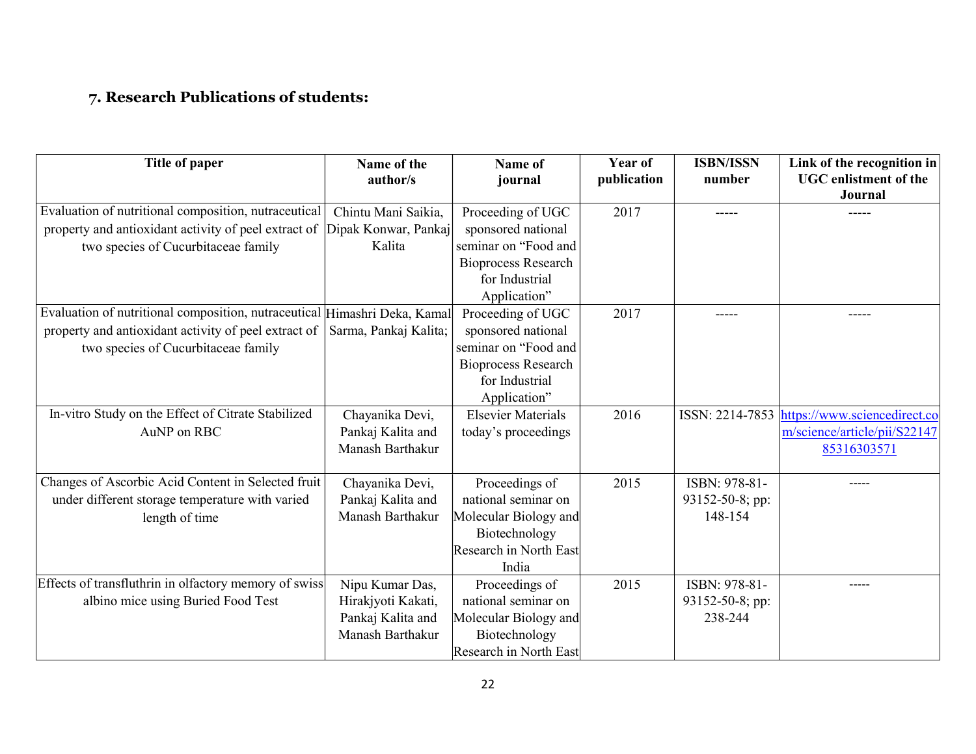#### 7. Research Publications of students:

| Title of paper                                                            | Name of the<br>author/s | Name of<br>journal         | Year of<br>publication | <b>ISBN/ISSN</b><br>number | Link of the recognition in<br><b>UGC</b> enlistment of the<br>Journal |
|---------------------------------------------------------------------------|-------------------------|----------------------------|------------------------|----------------------------|-----------------------------------------------------------------------|
| Evaluation of nutritional composition, nutraceutical                      | Chintu Mani Saikia,     | Proceeding of UGC          | 2017                   | -----                      |                                                                       |
| property and antioxidant activity of peel extract of                      | Dipak Konwar, Pankaj    | sponsored national         |                        |                            |                                                                       |
| two species of Cucurbitaceae family                                       | Kalita                  | seminar on "Food and       |                        |                            |                                                                       |
|                                                                           |                         | <b>Bioprocess Research</b> |                        |                            |                                                                       |
|                                                                           |                         | for Industrial             |                        |                            |                                                                       |
|                                                                           |                         | Application"               |                        |                            |                                                                       |
| Evaluation of nutritional composition, nutraceutical Himashri Deka, Kamal |                         | Proceeding of UGC          | 2017                   |                            |                                                                       |
| property and antioxidant activity of peel extract of                      | Sarma, Pankaj Kalita;   | sponsored national         |                        |                            |                                                                       |
| two species of Cucurbitaceae family                                       |                         | seminar on "Food and       |                        |                            |                                                                       |
|                                                                           |                         | <b>Bioprocess Research</b> |                        |                            |                                                                       |
|                                                                           |                         | for Industrial             |                        |                            |                                                                       |
|                                                                           |                         | Application"               |                        |                            |                                                                       |
| In-vitro Study on the Effect of Citrate Stabilized                        | Chayanika Devi,         | <b>Elsevier Materials</b>  | 2016                   |                            | ISSN: 2214-7853 https://www.sciencedirect.co                          |
| AuNP on RBC                                                               | Pankaj Kalita and       | today's proceedings        |                        |                            | m/science/article/pii/S22147                                          |
|                                                                           | Manash Barthakur        |                            |                        |                            | 85316303571                                                           |
|                                                                           |                         |                            |                        |                            |                                                                       |
| Changes of Ascorbic Acid Content in Selected fruit                        | Chayanika Devi,         | Proceedings of             | 2015                   | ISBN: 978-81-              |                                                                       |
| under different storage temperature with varied                           | Pankaj Kalita and       | national seminar on        |                        | 93152-50-8; pp:            |                                                                       |
| length of time                                                            | Manash Barthakur        | Molecular Biology and      |                        | 148-154                    |                                                                       |
|                                                                           |                         | Biotechnology              |                        |                            |                                                                       |
|                                                                           |                         | Research in North East     |                        |                            |                                                                       |
|                                                                           |                         | India                      |                        |                            |                                                                       |
| Effects of transfluthrin in olfactory memory of swiss                     | Nipu Kumar Das,         | Proceedings of             | 2015                   | ISBN: 978-81-              | -----                                                                 |
| albino mice using Buried Food Test                                        | Hirakjyoti Kakati,      | national seminar on        |                        | 93152-50-8; pp:            |                                                                       |
|                                                                           | Pankaj Kalita and       | Molecular Biology and      |                        | 238-244                    |                                                                       |
|                                                                           | Manash Barthakur        | Biotechnology              |                        |                            |                                                                       |
|                                                                           |                         | Research in North East     |                        |                            |                                                                       |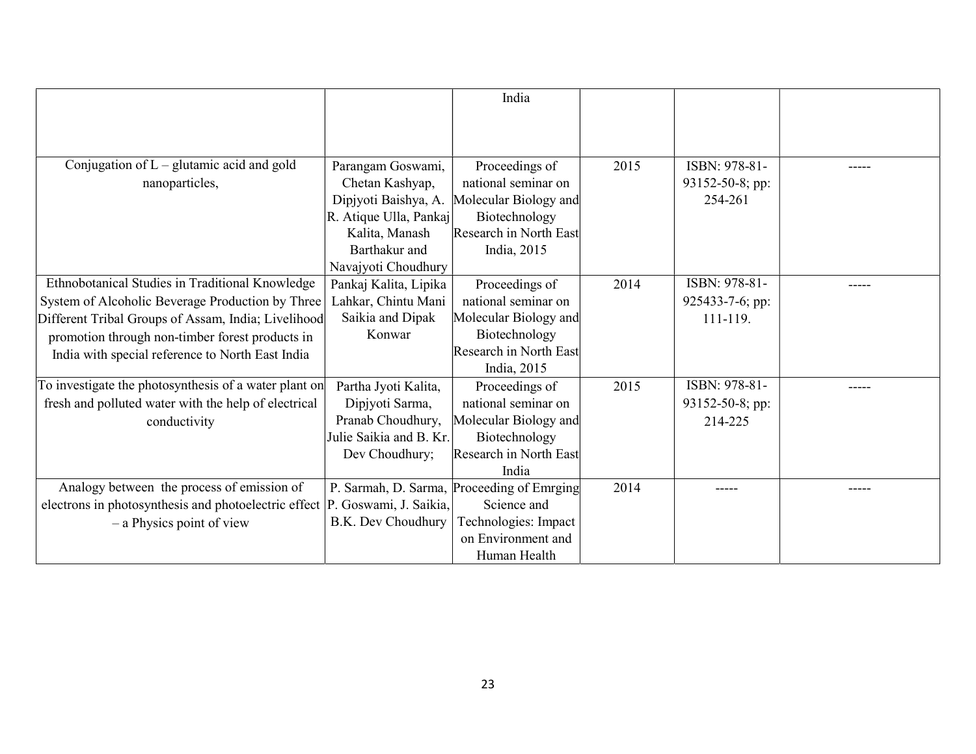|                                                                              |                         | India                                      |      |                 |  |
|------------------------------------------------------------------------------|-------------------------|--------------------------------------------|------|-----------------|--|
|                                                                              |                         |                                            |      |                 |  |
|                                                                              |                         |                                            |      |                 |  |
|                                                                              |                         |                                            |      |                 |  |
| Conjugation of $L$ – glutamic acid and gold                                  | Parangam Goswami,       | Proceedings of                             | 2015 | ISBN: 978-81-   |  |
| nanoparticles,                                                               | Chetan Kashyap,         | national seminar on                        |      | 93152-50-8; pp: |  |
|                                                                              | Dipjyoti Baishya, A.    | Molecular Biology and                      |      | 254-261         |  |
|                                                                              | R. Atique Ulla, Pankaj  | Biotechnology                              |      |                 |  |
|                                                                              | Kalita, Manash          | Research in North East                     |      |                 |  |
|                                                                              | Barthakur and           | India, 2015                                |      |                 |  |
|                                                                              | Navajyoti Choudhury     |                                            |      |                 |  |
| Ethnobotanical Studies in Traditional Knowledge                              | Pankaj Kalita, Lipika   | Proceedings of                             | 2014 | ISBN: 978-81-   |  |
| System of Alcoholic Beverage Production by Three                             | Lahkar, Chintu Mani     | national seminar on                        |      | 925433-7-6; pp: |  |
| Different Tribal Groups of Assam, India; Livelihood                          | Saikia and Dipak        | Molecular Biology and                      |      | 111-119.        |  |
| promotion through non-timber forest products in                              | Konwar                  | Biotechnology                              |      |                 |  |
| India with special reference to North East India                             |                         | Research in North East                     |      |                 |  |
|                                                                              |                         | India, 2015                                |      |                 |  |
| To investigate the photosynthesis of a water plant on                        | Partha Jyoti Kalita,    | Proceedings of                             | 2015 | ISBN: 978-81-   |  |
| fresh and polluted water with the help of electrical                         | Dipjyoti Sarma,         | national seminar on                        |      | 93152-50-8; pp: |  |
| conductivity                                                                 | Pranab Choudhury,       | Molecular Biology and                      |      | 214-225         |  |
|                                                                              | Julie Saikia and B. Kr. | Biotechnology                              |      |                 |  |
|                                                                              | Dev Choudhury;          | Research in North East                     |      |                 |  |
|                                                                              |                         | India                                      |      |                 |  |
| Analogy between the process of emission of                                   |                         | P. Sarmah, D. Sarma, Proceeding of Emrging | 2014 |                 |  |
| electrons in photosynthesis and photoelectric effect  P. Goswami, J. Saikia, |                         | Science and                                |      |                 |  |
| - a Physics point of view                                                    | B.K. Dev Choudhury      | Technologies: Impact                       |      |                 |  |
|                                                                              |                         | on Environment and                         |      |                 |  |
|                                                                              |                         | Human Health                               |      |                 |  |